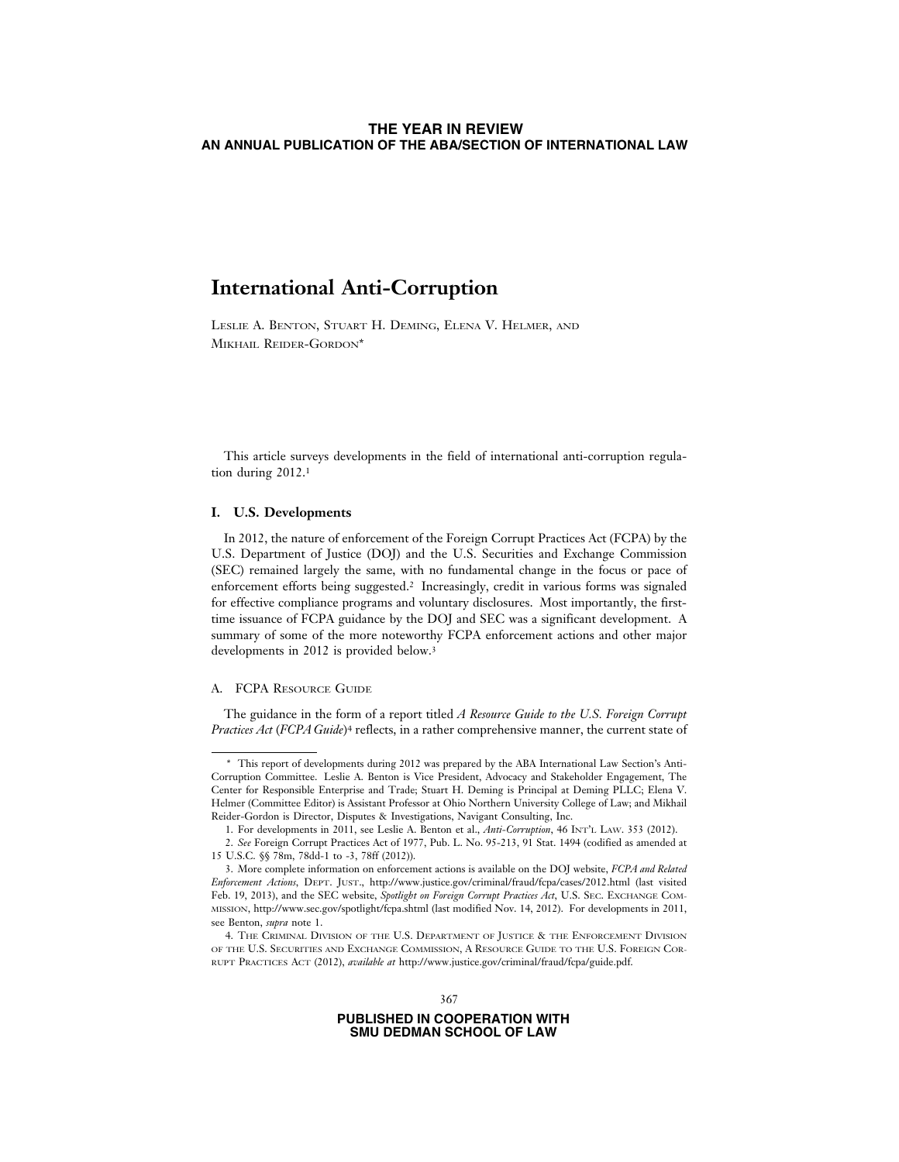# **International Anti-Corruption**

LESLIE A. BENTON, STUART H. DEMING, ELENA V. HELMER, AND MIKHAIL REIDER-GORDON\*

This article surveys developments in the field of international anti-corruption regulation during 2012.1

# **I. U.S. Developments**

In 2012, the nature of enforcement of the Foreign Corrupt Practices Act (FCPA) by the U.S. Department of Justice (DOJ) and the U.S. Securities and Exchange Commission (SEC) remained largely the same, with no fundamental change in the focus or pace of enforcement efforts being suggested.2 Increasingly, credit in various forms was signaled for effective compliance programs and voluntary disclosures. Most importantly, the firsttime issuance of FCPA guidance by the DOJ and SEC was a significant development. A summary of some of the more noteworthy FCPA enforcement actions and other major developments in 2012 is provided below.<sup>3</sup>

#### A. FCPA RESOURCE GUIDE

The guidance in the form of a report titled *A Resource Guide to the U.S. Foreign Corrupt Practices Act* (*FCPA Guide*)4 reflects, in a rather comprehensive manner, the current state of

<sup>\*</sup> This report of developments during 2012 was prepared by the ABA International Law Section's Anti-Corruption Committee. Leslie A. Benton is Vice President, Advocacy and Stakeholder Engagement, The Center for Responsible Enterprise and Trade; Stuart H. Deming is Principal at Deming PLLC; Elena V. Helmer (Committee Editor) is Assistant Professor at Ohio Northern University College of Law; and Mikhail Reider-Gordon is Director, Disputes & Investigations, Navigant Consulting, Inc.

<sup>1.</sup> For developments in 2011, see Leslie A. Benton et al., *Anti-Corruption*, 46 INT'L LAW. 353 (2012).

<sup>2.</sup> *See* Foreign Corrupt Practices Act of 1977, Pub. L. No. 95-213, 91 Stat. 1494 (codified as amended at 15 U.S.C. §§ 78m, 78dd-1 to -3, 78ff (2012)).

<sup>3.</sup> More complete information on enforcement actions is available on the DOJ website, *FCPA and Related Enforcement Actions*, DEPT. JUST., http://www.justice.gov/criminal/fraud/fcpa/cases/2012.html (last visited Feb. 19, 2013), and the SEC website, *Spotlight on Foreign Corrupt Practices Act*, U.S. SEC. EXCHANGE COM-MISSION, http://www.sec.gov/spotlight/fcpa.shtml (last modified Nov. 14, 2012). For developments in 2011, see Benton, *supra* note 1.

<sup>4.</sup> THE CRIMINAL DIVISION OF THE U.S. DEPARTMENT OF JUSTICE & THE ENFORCEMENT DIVISION OF THE U.S. SECURITIES AND EXCHANGE COMMISSION, A RESOURCE GUIDE TO THE U.S. FOREIGN COR-RUPT PRACTICES ACT (2012), *available at* http://www.justice.gov/criminal/fraud/fcpa/guide.pdf.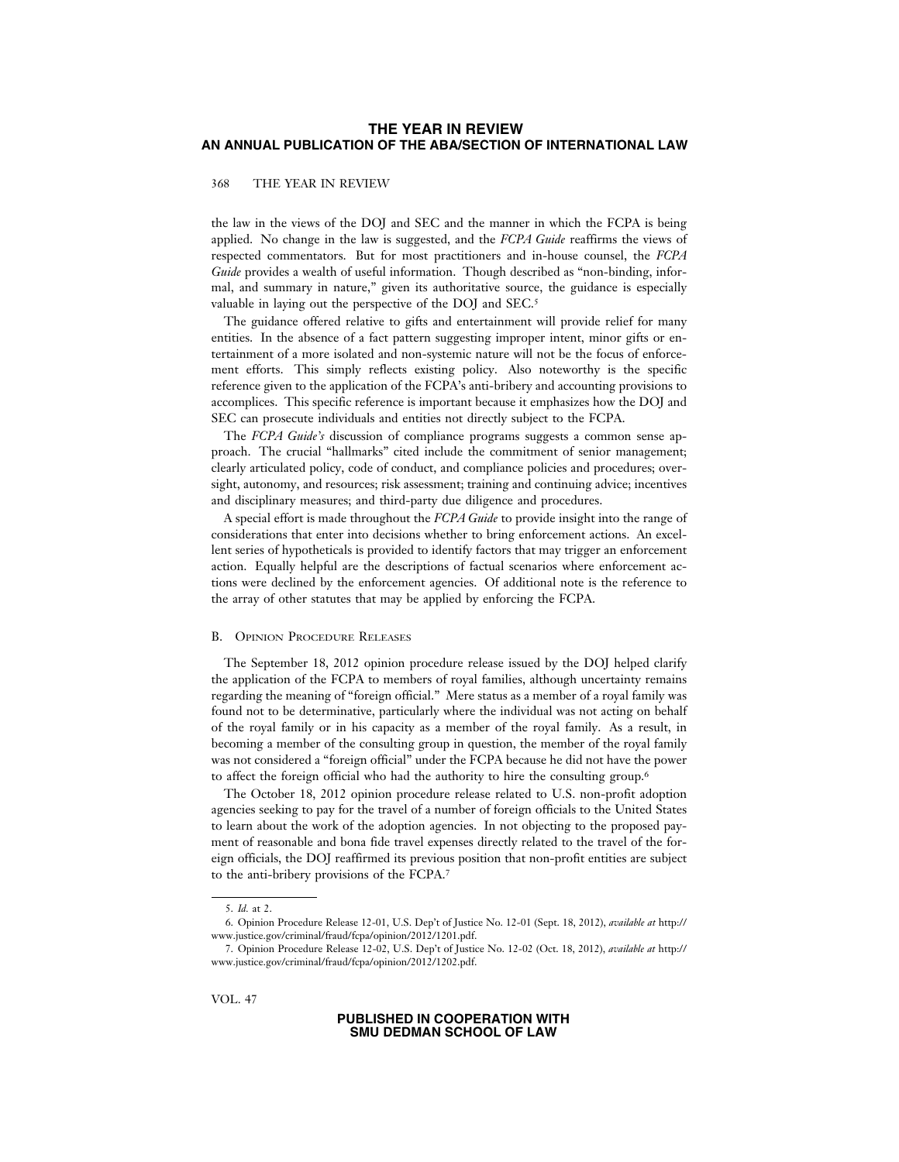368 THE YEAR IN REVIEW

the law in the views of the DOJ and SEC and the manner in which the FCPA is being applied. No change in the law is suggested, and the *FCPA Guide* reaffirms the views of respected commentators. But for most practitioners and in-house counsel, the *FCPA Guide* provides a wealth of useful information. Though described as "non-binding, informal, and summary in nature," given its authoritative source, the guidance is especially valuable in laying out the perspective of the DOJ and SEC.5

The guidance offered relative to gifts and entertainment will provide relief for many entities. In the absence of a fact pattern suggesting improper intent, minor gifts or entertainment of a more isolated and non-systemic nature will not be the focus of enforcement efforts. This simply reflects existing policy. Also noteworthy is the specific reference given to the application of the FCPA's anti-bribery and accounting provisions to accomplices. This specific reference is important because it emphasizes how the DOJ and SEC can prosecute individuals and entities not directly subject to the FCPA.

The *FCPA Guide's* discussion of compliance programs suggests a common sense approach. The crucial "hallmarks" cited include the commitment of senior management; clearly articulated policy, code of conduct, and compliance policies and procedures; oversight, autonomy, and resources; risk assessment; training and continuing advice; incentives and disciplinary measures; and third-party due diligence and procedures.

A special effort is made throughout the *FCPA Guide* to provide insight into the range of considerations that enter into decisions whether to bring enforcement actions. An excellent series of hypotheticals is provided to identify factors that may trigger an enforcement action. Equally helpful are the descriptions of factual scenarios where enforcement actions were declined by the enforcement agencies. Of additional note is the reference to the array of other statutes that may be applied by enforcing the FCPA.

### B. OPINION PROCEDURE RELEASES

The September 18, 2012 opinion procedure release issued by the DOJ helped clarify the application of the FCPA to members of royal families, although uncertainty remains regarding the meaning of "foreign official." Mere status as a member of a royal family was found not to be determinative, particularly where the individual was not acting on behalf of the royal family or in his capacity as a member of the royal family. As a result, in becoming a member of the consulting group in question, the member of the royal family was not considered a "foreign official" under the FCPA because he did not have the power to affect the foreign official who had the authority to hire the consulting group.6

The October 18, 2012 opinion procedure release related to U.S. non-profit adoption agencies seeking to pay for the travel of a number of foreign officials to the United States to learn about the work of the adoption agencies. In not objecting to the proposed payment of reasonable and bona fide travel expenses directly related to the travel of the foreign officials, the DOJ reaffirmed its previous position that non-profit entities are subject to the anti-bribery provisions of the FCPA.7

VOL. 47

<sup>5.</sup> *Id.* at 2.

<sup>6.</sup> Opinion Procedure Release 12-01, U.S. Dep't of Justice No. 12-01 (Sept. 18, 2012), *available at* http:// www.justice.gov/criminal/fraud/fcpa/opinion/2012/1201.pdf.

<sup>7.</sup> Opinion Procedure Release 12-02, U.S. Dep't of Justice No. 12-02 (Oct. 18, 2012), *available at* http:// www.justice.gov/criminal/fraud/fcpa/opinion/2012/1202.pdf.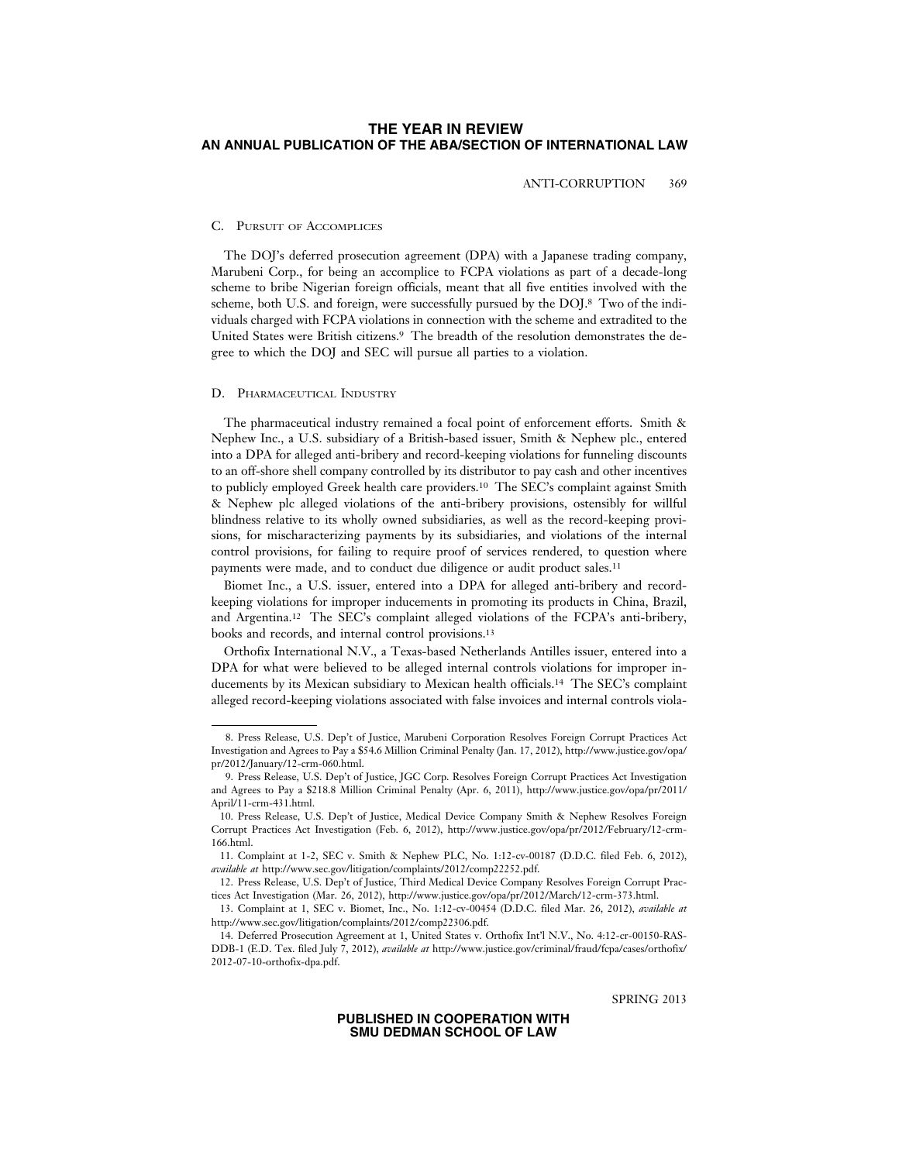ANTI-CORRUPTION 369

# C. PURSUIT OF ACCOMPLICES

The DOJ's deferred prosecution agreement (DPA) with a Japanese trading company, Marubeni Corp., for being an accomplice to FCPA violations as part of a decade-long scheme to bribe Nigerian foreign officials, meant that all five entities involved with the scheme, both U.S. and foreign, were successfully pursued by the DOJ.8 Two of the individuals charged with FCPA violations in connection with the scheme and extradited to the United States were British citizens.9 The breadth of the resolution demonstrates the degree to which the DOJ and SEC will pursue all parties to a violation.

### D. PHARMACEUTICAL INDUSTRY

The pharmaceutical industry remained a focal point of enforcement efforts. Smith & Nephew Inc., a U.S. subsidiary of a British-based issuer, Smith & Nephew plc., entered into a DPA for alleged anti-bribery and record-keeping violations for funneling discounts to an off-shore shell company controlled by its distributor to pay cash and other incentives to publicly employed Greek health care providers.10 The SEC's complaint against Smith & Nephew plc alleged violations of the anti-bribery provisions, ostensibly for willful blindness relative to its wholly owned subsidiaries, as well as the record-keeping provisions, for mischaracterizing payments by its subsidiaries, and violations of the internal control provisions, for failing to require proof of services rendered, to question where payments were made, and to conduct due diligence or audit product sales.11

Biomet Inc., a U.S. issuer, entered into a DPA for alleged anti-bribery and recordkeeping violations for improper inducements in promoting its products in China, Brazil, and Argentina.12 The SEC's complaint alleged violations of the FCPA's anti-bribery, books and records, and internal control provisions.13

Orthofix International N.V., a Texas-based Netherlands Antilles issuer, entered into a DPA for what were believed to be alleged internal controls violations for improper inducements by its Mexican subsidiary to Mexican health officials.14 The SEC's complaint alleged record-keeping violations associated with false invoices and internal controls viola-

SPRING 2013

<sup>8.</sup> Press Release, U.S. Dep't of Justice, Marubeni Corporation Resolves Foreign Corrupt Practices Act Investigation and Agrees to Pay a \$54.6 Million Criminal Penalty (Jan. 17, 2012), http://www.justice.gov/opa/ pr/2012/January/12-crm-060.html.

<sup>9.</sup> Press Release, U.S. Dep't of Justice, JGC Corp. Resolves Foreign Corrupt Practices Act Investigation and Agrees to Pay a \$218.8 Million Criminal Penalty (Apr. 6, 2011), http://www.justice.gov/opa/pr/2011/ April/11-crm-431.html.

<sup>10.</sup> Press Release, U.S. Dep't of Justice, Medical Device Company Smith & Nephew Resolves Foreign Corrupt Practices Act Investigation (Feb. 6, 2012), http://www.justice.gov/opa/pr/2012/February/12-crm-166.html.

<sup>11.</sup> Complaint at 1-2, SEC v. Smith & Nephew PLC, No. 1:12-cv-00187 (D.D.C. filed Feb. 6, 2012), *available at* http://www.sec.gov/litigation/complaints/2012/comp22252.pdf.

<sup>12.</sup> Press Release, U.S. Dep't of Justice, Third Medical Device Company Resolves Foreign Corrupt Practices Act Investigation (Mar. 26, 2012), http://www.justice.gov/opa/pr/2012/March/12-crm-373.html.

<sup>13.</sup> Complaint at 1, SEC v. Biomet, Inc., No. 1:12-cv-00454 (D.D.C. filed Mar. 26, 2012), *available at* http://www.sec.gov/litigation/complaints/2012/comp22306.pdf.

<sup>14.</sup> Deferred Prosecution Agreement at 1, United States v. Orthofix Int'l N.V., No. 4:12-cr-00150-RAS-DDB-1 (E.D. Tex. filed July 7, 2012), *available at* http://www.justice.gov/criminal/fraud/fcpa/cases/orthofix/ 2012-07-10-orthofix-dpa.pdf.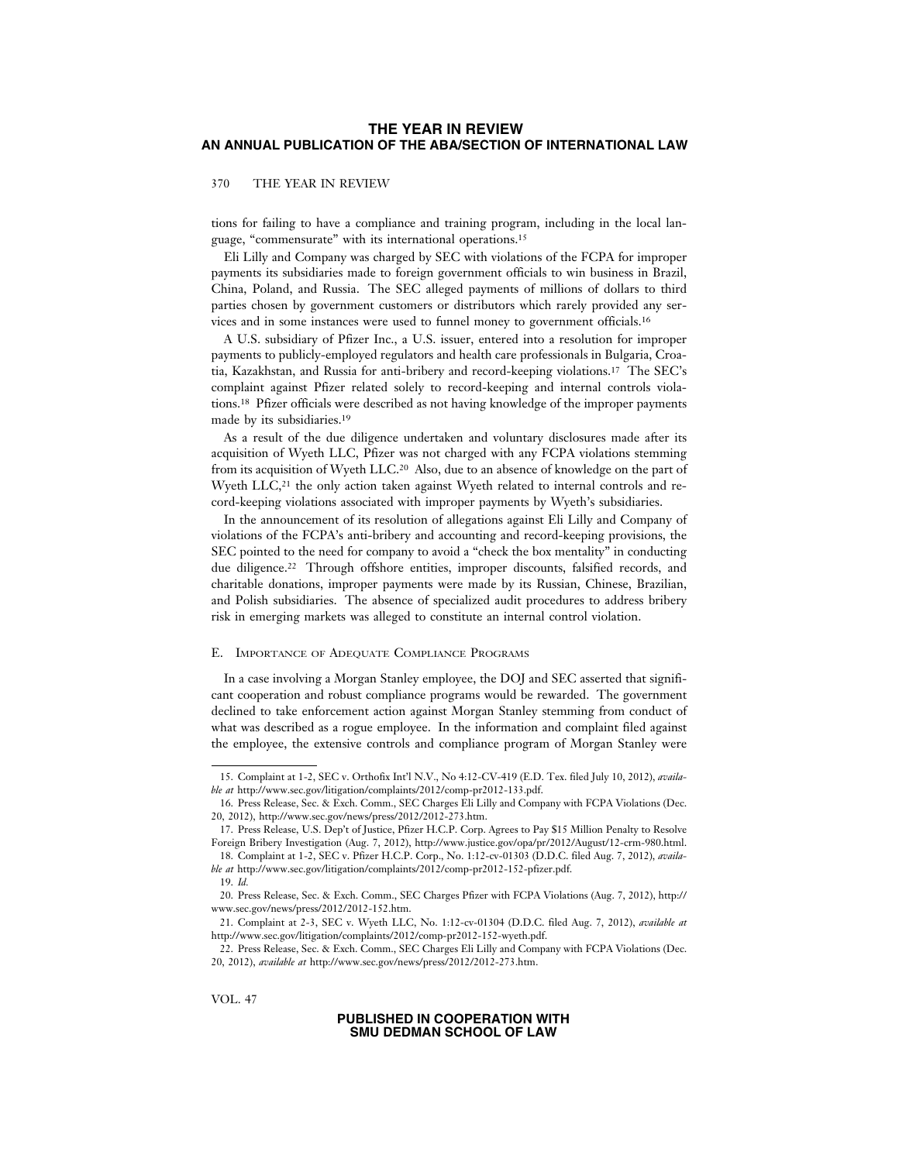### 370 THE YEAR IN REVIEW

tions for failing to have a compliance and training program, including in the local language, "commensurate" with its international operations.15

Eli Lilly and Company was charged by SEC with violations of the FCPA for improper payments its subsidiaries made to foreign government officials to win business in Brazil, China, Poland, and Russia. The SEC alleged payments of millions of dollars to third parties chosen by government customers or distributors which rarely provided any services and in some instances were used to funnel money to government officials.16

A U.S. subsidiary of Pfizer Inc., a U.S. issuer, entered into a resolution for improper payments to publicly-employed regulators and health care professionals in Bulgaria, Croatia, Kazakhstan, and Russia for anti-bribery and record-keeping violations.17 The SEC's complaint against Pfizer related solely to record-keeping and internal controls violations.18 Pfizer officials were described as not having knowledge of the improper payments made by its subsidiaries.19

As a result of the due diligence undertaken and voluntary disclosures made after its acquisition of Wyeth LLC, Pfizer was not charged with any FCPA violations stemming from its acquisition of Wyeth LLC.20 Also, due to an absence of knowledge on the part of Wyeth  $LLC<sub>1</sub><sup>21</sup>$  the only action taken against Wyeth related to internal controls and record-keeping violations associated with improper payments by Wyeth's subsidiaries.

In the announcement of its resolution of allegations against Eli Lilly and Company of violations of the FCPA's anti-bribery and accounting and record-keeping provisions, the SEC pointed to the need for company to avoid a "check the box mentality" in conducting due diligence.22 Through offshore entities, improper discounts, falsified records, and charitable donations, improper payments were made by its Russian, Chinese, Brazilian, and Polish subsidiaries. The absence of specialized audit procedures to address bribery risk in emerging markets was alleged to constitute an internal control violation.

### E. IMPORTANCE OF ADEQUATE COMPLIANCE PROGRAMS

In a case involving a Morgan Stanley employee, the DOJ and SEC asserted that significant cooperation and robust compliance programs would be rewarded. The government declined to take enforcement action against Morgan Stanley stemming from conduct of what was described as a rogue employee. In the information and complaint filed against the employee, the extensive controls and compliance program of Morgan Stanley were

VOL. 47

<sup>15.</sup> Complaint at 1-2, SEC v. Orthofix Int'l N.V., No 4:12-CV-419 (E.D. Tex. filed July 10, 2012), *available at* http://www.sec.gov/litigation/complaints/2012/comp-pr2012-133.pdf.

<sup>16.</sup> Press Release, Sec. & Exch. Comm., SEC Charges Eli Lilly and Company with FCPA Violations (Dec. 20, 2012), http://www.sec.gov/news/press/2012/2012-273.htm.

<sup>17.</sup> Press Release, U.S. Dep't of Justice, Pfizer H.C.P. Corp. Agrees to Pay \$15 Million Penalty to Resolve Foreign Bribery Investigation (Aug. 7, 2012), http://www.justice.gov/opa/pr/2012/August/12-crm-980.html.

<sup>18.</sup> Complaint at 1-2, SEC v. Pfizer H.C.P. Corp., No. 1:12-cv-01303 (D.D.C. filed Aug. 7, 2012), *available at* http://www.sec.gov/litigation/complaints/2012/comp-pr2012-152-pfizer.pdf.

<sup>19.</sup> *Id.*

<sup>20.</sup> Press Release, Sec. & Exch. Comm., SEC Charges Pfizer with FCPA Violations (Aug. 7, 2012), http:// www.sec.gov/news/press/2012/2012-152.htm.

<sup>21.</sup> Complaint at 2-3, SEC v. Wyeth LLC, No. 1:12-cv-01304 (D.D.C. filed Aug. 7, 2012), *available at* http://www.sec.gov/litigation/complaints/2012/comp-pr2012-152-wyeth.pdf.

<sup>22.</sup> Press Release, Sec. & Exch. Comm., SEC Charges Eli Lilly and Company with FCPA Violations (Dec. 20, 2012), *available at* http://www.sec.gov/news/press/2012/2012-273.htm.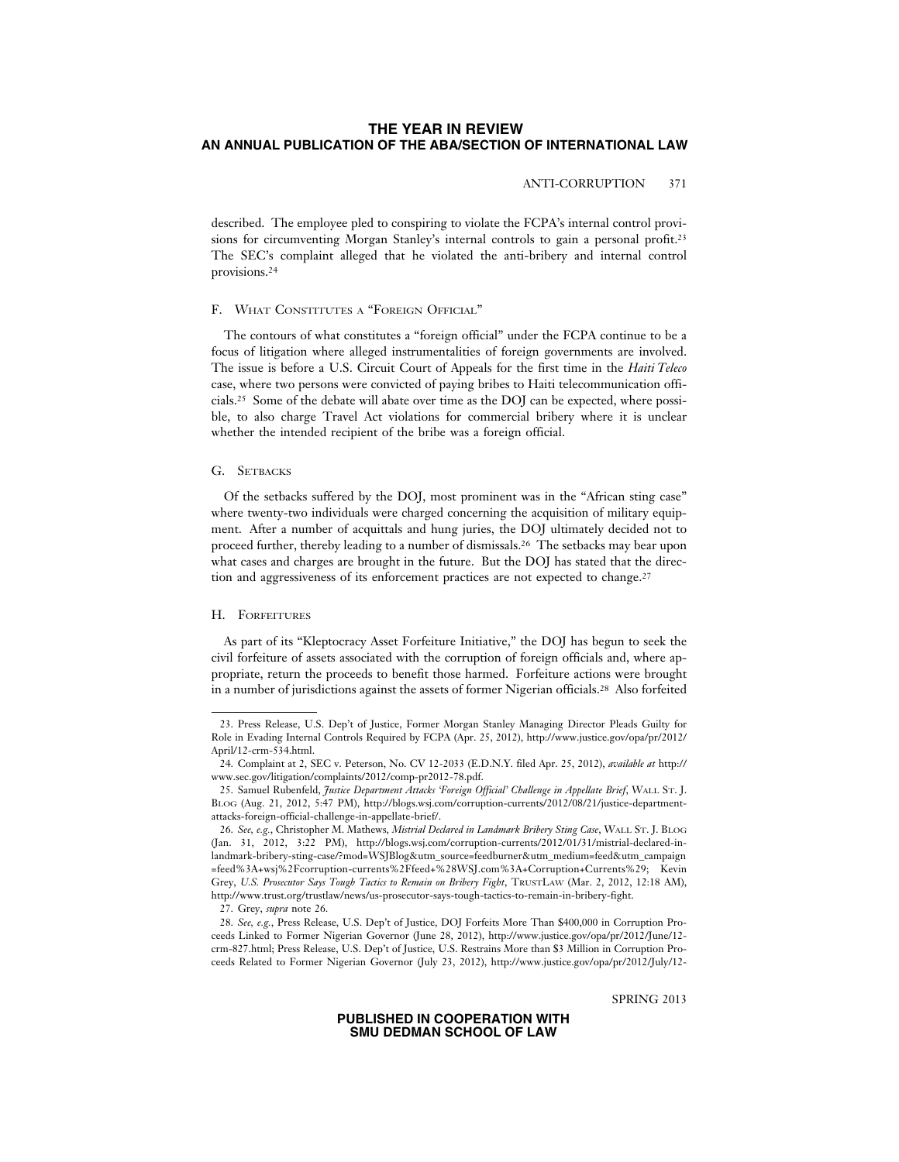# ANTI-CORRUPTION 371

described. The employee pled to conspiring to violate the FCPA's internal control provisions for circumventing Morgan Stanley's internal controls to gain a personal profit.23 The SEC's complaint alleged that he violated the anti-bribery and internal control provisions.24

#### F. WHAT CONSTITUTES A "FOREIGN OFFICIAL"

The contours of what constitutes a "foreign official" under the FCPA continue to be a focus of litigation where alleged instrumentalities of foreign governments are involved. The issue is before a U.S. Circuit Court of Appeals for the first time in the *Haiti Teleco* case, where two persons were convicted of paying bribes to Haiti telecommunication officials.25 Some of the debate will abate over time as the DOJ can be expected, where possible, to also charge Travel Act violations for commercial bribery where it is unclear whether the intended recipient of the bribe was a foreign official.

### G. SETBACKS

Of the setbacks suffered by the DOJ, most prominent was in the "African sting case" where twenty-two individuals were charged concerning the acquisition of military equipment. After a number of acquittals and hung juries, the DOJ ultimately decided not to proceed further, thereby leading to a number of dismissals.26 The setbacks may bear upon what cases and charges are brought in the future. But the DOJ has stated that the direction and aggressiveness of its enforcement practices are not expected to change.<sup>27</sup>

#### H. FORFEITURES

As part of its "Kleptocracy Asset Forfeiture Initiative," the DOJ has begun to seek the civil forfeiture of assets associated with the corruption of foreign officials and, where appropriate, return the proceeds to benefit those harmed. Forfeiture actions were brought in a number of jurisdictions against the assets of former Nigerian officials.28 Also forfeited

SPRING 2013

<sup>23.</sup> Press Release, U.S. Dep't of Justice, Former Morgan Stanley Managing Director Pleads Guilty for Role in Evading Internal Controls Required by FCPA (Apr. 25, 2012), http://www.justice.gov/opa/pr/2012/ April/12-crm-534.html.

<sup>24.</sup> Complaint at 2, SEC v. Peterson, No. CV 12-2033 (E.D.N.Y. filed Apr. 25, 2012), *available at* http:// www.sec.gov/litigation/complaints/2012/comp-pr2012-78.pdf.

<sup>25.</sup> Samuel Rubenfeld, *Justice Department Attacks 'Foreign Official' Challenge in Appellate Brief*, WALL ST. J. BLOG (Aug. 21, 2012, 5:47 PM), http://blogs.wsj.com/corruption-currents/2012/08/21/justice-departmentattacks-foreign-official-challenge-in-appellate-brief/.

<sup>26.</sup> *See, e.g.*, Christopher M. Mathews, *Mistrial Declared in Landmark Bribery Sting Case*, WALL ST. J. BLOG (Jan. 31, 2012, 3:22 PM), http://blogs.wsj.com/corruption-currents/2012/01/31/mistrial-declared-inlandmark-bribery-sting-case/?mod=WSJBlog&utm\_source=feedburner&utm\_medium=feed&utm\_campaign =feed%3A+wsj%2Fcorruption-currents%2Ffeed+%28WSJ.com%3A+Corruption+Currents%29; Kevin Grey, *U.S. Prosecutor Says Tough Tactics to Remain on Bribery Fight*, TRUSTLAW (Mar. 2, 2012, 12:18 AM), http://www.trust.org/trustlaw/news/us-prosecutor-says-tough-tactics-to-remain-in-bribery-fight.

<sup>27.</sup> Grey, *supra* note 26.

<sup>28.</sup> *See, e.g.*, Press Release, U.S. Dep't of Justice, DOJ Forfeits More Than \$400,000 in Corruption Proceeds Linked to Former Nigerian Governor (June 28, 2012), http://www.justice.gov/opa/pr/2012/June/12 crm-827.html; Press Release, U.S. Dep't of Justice, U.S. Restrains More than \$3 Million in Corruption Proceeds Related to Former Nigerian Governor (July 23, 2012), http://www.justice.gov/opa/pr/2012/July/12-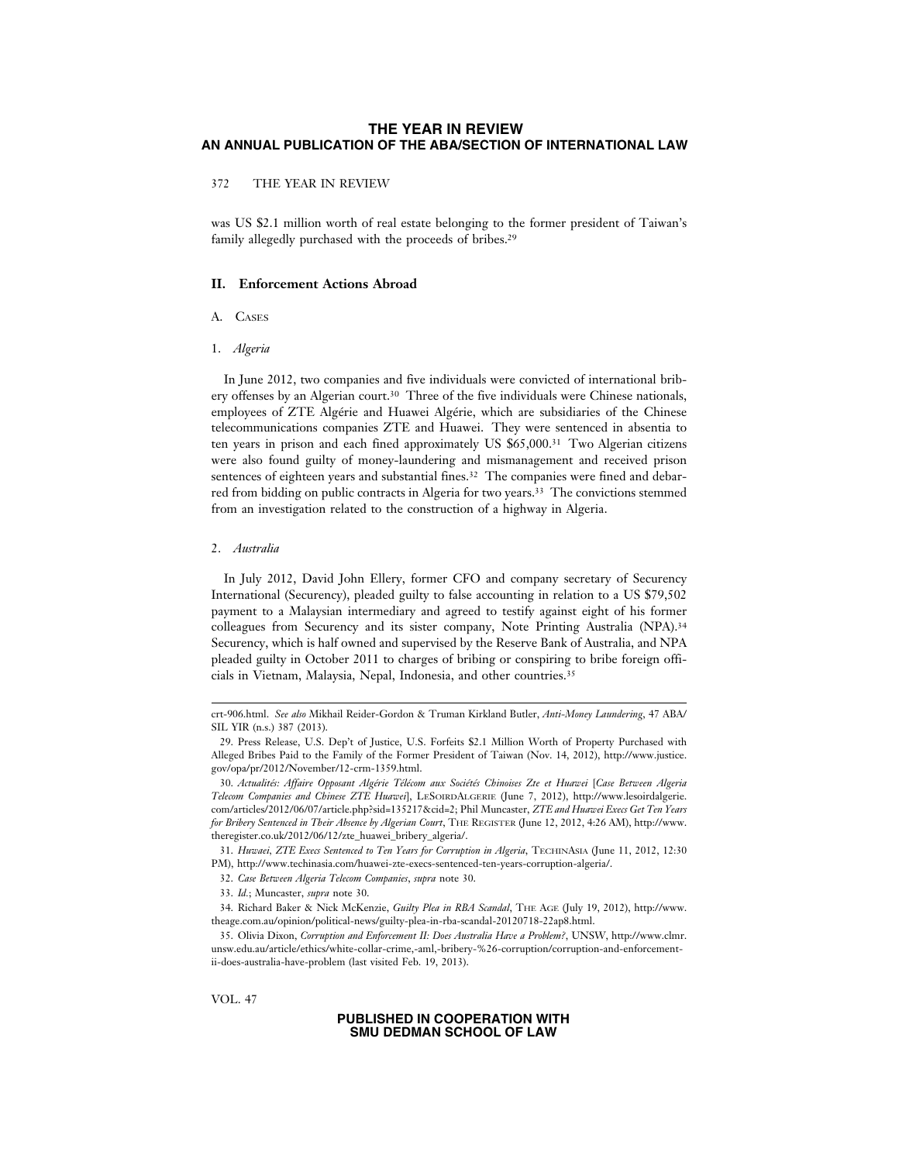372 THE YEAR IN REVIEW

was US \$2.1 million worth of real estate belonging to the former president of Taiwan's family allegedly purchased with the proceeds of bribes.29

# **II. Enforcement Actions Abroad**

# A. CASES

1. *Algeria*

In June 2012, two companies and five individuals were convicted of international bribery offenses by an Algerian court.30 Three of the five individuals were Chinese nationals, employees of ZTE Algérie and Huawei Algérie, which are subsidiaries of the Chinese telecommunications companies ZTE and Huawei. They were sentenced in absentia to ten years in prison and each fined approximately US \$65,000.31 Two Algerian citizens were also found guilty of money-laundering and mismanagement and received prison sentences of eighteen years and substantial fines.<sup>32</sup> The companies were fined and debarred from bidding on public contracts in Algeria for two years.33 The convictions stemmed from an investigation related to the construction of a highway in Algeria.

#### 2. *Australia*

In July 2012, David John Ellery, former CFO and company secretary of Securency International (Securency), pleaded guilty to false accounting in relation to a US \$79,502 payment to a Malaysian intermediary and agreed to testify against eight of his former colleagues from Securency and its sister company, Note Printing Australia (NPA).34 Securency, which is half owned and supervised by the Reserve Bank of Australia, and NPA pleaded guilty in October 2011 to charges of bribing or conspiring to bribe foreign officials in Vietnam, Malaysia, Nepal, Indonesia, and other countries.35

VOL. 47

crt-906.html. *See also* Mikhail Reider-Gordon & Truman Kirkland Butler, *Anti-Money Laundering*, 47 ABA/ SIL YIR (n.s.) 387 (2013).

<sup>29.</sup> Press Release, U.S. Dep't of Justice, U.S. Forfeits \$2.1 Million Worth of Property Purchased with Alleged Bribes Paid to the Family of the Former President of Taiwan (Nov. 14, 2012), http://www.justice. gov/opa/pr/2012/November/12-crm-1359.html.

<sup>30.</sup> *Actualit´es: Affaire Opposant Alg´erie T´el´ecom aux Soci´et´es Chinoises Zte et Huawei* [*Case Between Algeria Telecom Companies and Chinese ZTE Huawei*], LESOIRDALGERIE (June 7, 2012), http://www.lesoirdalgerie. com/articles/2012/06/07/article.php?sid=135217&cid=2; Phil Muncaster, *ZTE and Huawei Execs Get Ten Years for Bribery Sentenced in Their Absence by Algerian Court*, THE REGISTER (June 12, 2012, 4:26 AM), http://www. theregister.co.uk/2012/06/12/zte\_huawei\_bribery\_algeria/.

<sup>31.</sup> *Huwaei, ZTE Execs Sentenced to Ten Years for Corruption in Algeria*, TECHINASIA (June 11, 2012, 12:30 PM), http://www.techinasia.com/huawei-zte-execs-sentenced-ten-years-corruption-algeria/.

<sup>32.</sup> *Case Between Algeria Telecom Companies*, *supra* note 30.

<sup>33.</sup> *Id.*; Muncaster, *supra* note 30.

<sup>34.</sup> Richard Baker & Nick McKenzie, *Guilty Plea in RBA Scandal*, THE AGE (July 19, 2012), http://www. theage.com.au/opinion/political-news/guilty-plea-in-rba-scandal-20120718-22ap8.html.

<sup>35.</sup> Olivia Dixon, *Corruption and Enforcement II: Does Australia Have a Problem?*, UNSW, http://www.clmr. unsw.edu.au/article/ethics/white-collar-crime,-aml,-bribery-%26-corruption/corruption-and-enforcementii-does-australia-have-problem (last visited Feb. 19, 2013).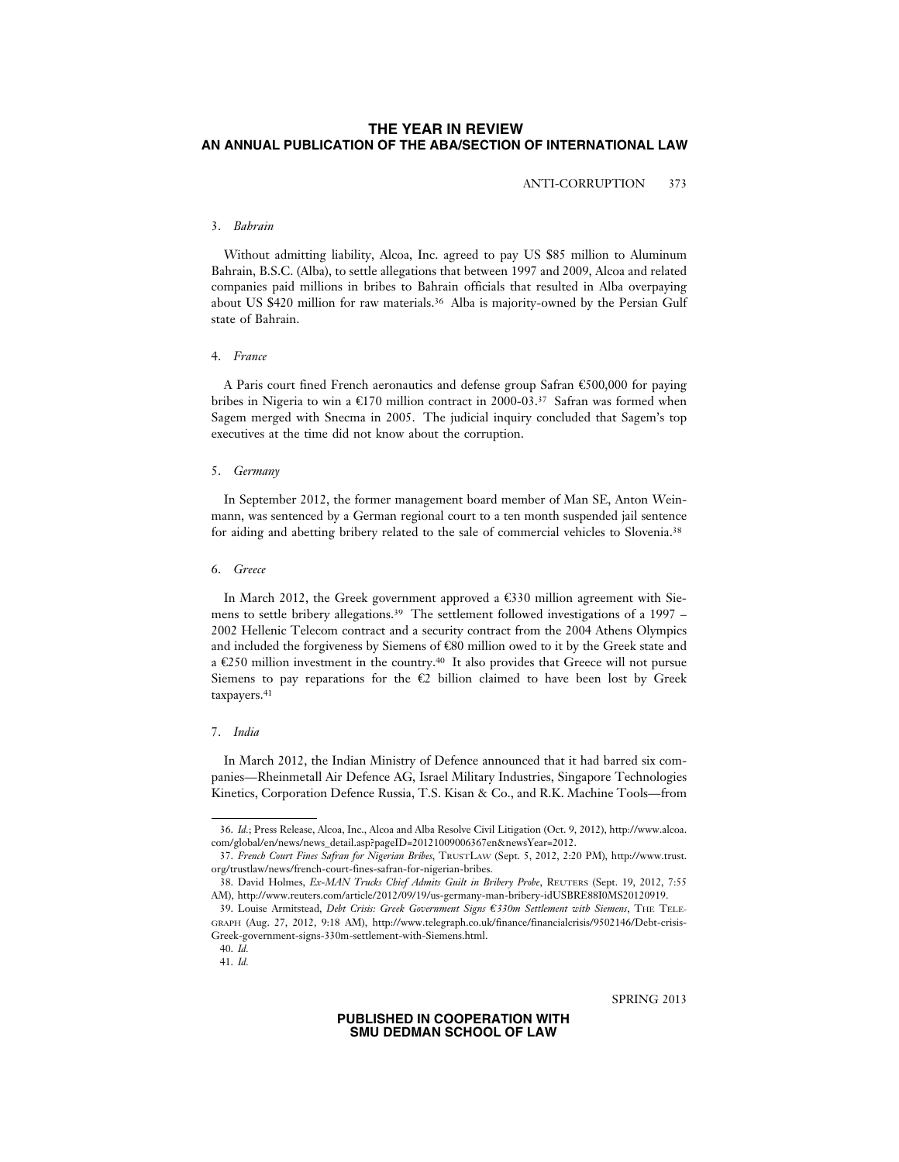ANTI-CORRUPTION 373

#### 3. *Bahrain*

Without admitting liability, Alcoa, Inc. agreed to pay US \$85 million to Aluminum Bahrain, B.S.C. (Alba), to settle allegations that between 1997 and 2009, Alcoa and related companies paid millions in bribes to Bahrain officials that resulted in Alba overpaying about US \$420 million for raw materials.36 Alba is majority-owned by the Persian Gulf state of Bahrain.

### 4. *France*

A Paris court fined French aeronautics and defense group Safran €500,000 for paying bribes in Nigeria to win a €170 million contract in 2000-03.<sup>37</sup> Safran was formed when Sagem merged with Snecma in 2005. The judicial inquiry concluded that Sagem's top executives at the time did not know about the corruption.

#### 5. *Germany*

In September 2012, the former management board member of Man SE, Anton Weinmann, was sentenced by a German regional court to a ten month suspended jail sentence for aiding and abetting bribery related to the sale of commercial vehicles to Slovenia.<sup>38</sup>

# 6. *Greece*

In March 2012, the Greek government approved a  $\epsilon$ 330 million agreement with Siemens to settle bribery allegations.39 The settlement followed investigations of a 1997 – 2002 Hellenic Telecom contract and a security contract from the 2004 Athens Olympics and included the forgiveness by Siemens of  $\mathfrak{C}80$  million owed to it by the Greek state and a  $\epsilon$ 250 million investment in the country.<sup>40</sup> It also provides that Greece will not pursue Siemens to pay reparations for the  $\mathfrak{C}2$  billion claimed to have been lost by Greek taxpayers.<sup>41</sup>

#### 7. *India*

In March 2012, the Indian Ministry of Defence announced that it had barred six companies—Rheinmetall Air Defence AG, Israel Military Industries, Singapore Technologies Kinetics, Corporation Defence Russia, T.S. Kisan & Co., and R.K. Machine Tools—from

SPRING 2013

<sup>36.</sup> *Id.*; Press Release, Alcoa, Inc., Alcoa and Alba Resolve Civil Litigation (Oct. 9, 2012), http://www.alcoa. com/global/en/news/news\_detail.asp?pageID=20121009006367en&newsYear=2012.

<sup>37.</sup> *French Court Fines Safran for Nigerian Bribes*, TRUSTLAW (Sept. 5, 2012, 2:20 PM), http://www.trust. org/trustlaw/news/french-court-fines-safran-for-nigerian-bribes.

<sup>38.</sup> David Holmes, *Ex-MAN Trucks Chief Admits Guilt in Bribery Probe*, REUTERS (Sept. 19, 2012, 7:55 AM), http://www.reuters.com/article/2012/09/19/us-germany-man-bribery-idUSBRE88I0MS20120919.

<sup>39.</sup> Louise Armitstead, *Debt Crisis: Greek Government Signs = C330m Settlement with Siemens*, THE TELE-GRAPH (Aug. 27, 2012, 9:18 AM), http://www.telegraph.co.uk/finance/financialcrisis/9502146/Debt-crisis-Greek-government-signs-330m-settlement-with-Siemens.html.

<sup>40.</sup> *Id.* 41. *Id.*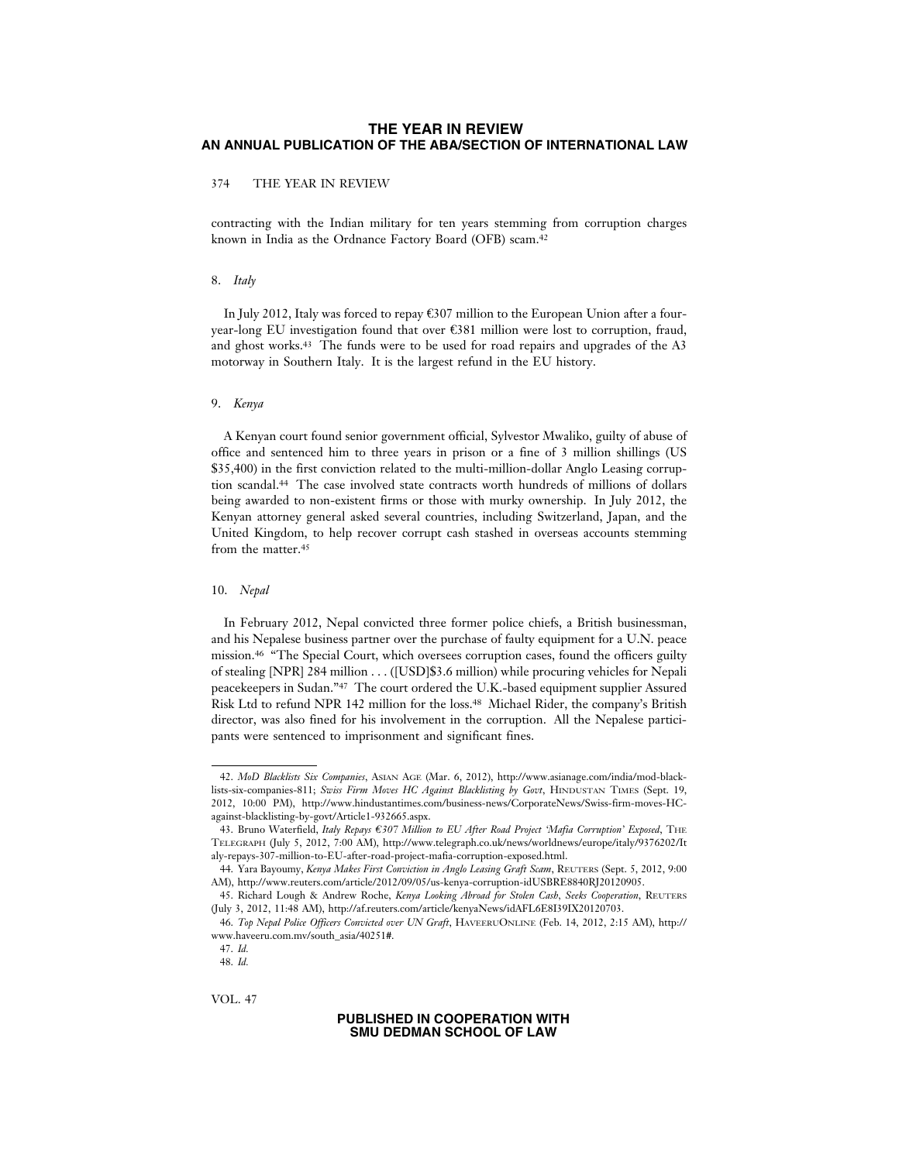# 374 THE YEAR IN REVIEW

contracting with the Indian military for ten years stemming from corruption charges known in India as the Ordnance Factory Board (OFB) scam.42

#### 8. *Italy*

In July 2012, Italy was forced to repay €307 million to the European Union after a fouryear-long EU investigation found that over  $\mathfrak{E}381$  million were lost to corruption, fraud, and ghost works.43 The funds were to be used for road repairs and upgrades of the A3 motorway in Southern Italy. It is the largest refund in the EU history.

### 9. *Kenya*

A Kenyan court found senior government official, Sylvestor Mwaliko, guilty of abuse of office and sentenced him to three years in prison or a fine of 3 million shillings (US \$35,400) in the first conviction related to the multi-million-dollar Anglo Leasing corruption scandal.44 The case involved state contracts worth hundreds of millions of dollars being awarded to non-existent firms or those with murky ownership. In July 2012, the Kenyan attorney general asked several countries, including Switzerland, Japan, and the United Kingdom, to help recover corrupt cash stashed in overseas accounts stemming from the matter.<sup>45</sup>

#### 10. *Nepal*

In February 2012, Nepal convicted three former police chiefs, a British businessman, and his Nepalese business partner over the purchase of faulty equipment for a U.N. peace mission.46 "The Special Court, which oversees corruption cases, found the officers guilty of stealing [NPR] 284 million . . . ([USD]\$3.6 million) while procuring vehicles for Nepali peacekeepers in Sudan."47 The court ordered the U.K.-based equipment supplier Assured Risk Ltd to refund NPR 142 million for the loss.48 Michael Rider, the company's British director, was also fined for his involvement in the corruption. All the Nepalese participants were sentenced to imprisonment and significant fines.

VOL. 47

<sup>42.</sup> *MoD Blacklists Six Companies*, ASIAN AGE (Mar. 6, 2012), http://www.asianage.com/india/mod-blacklists-six-companies-811; *Swiss Firm Moves HC Against Blacklisting by Govt*, HINDUSTAN TIMES (Sept. 19, 2012, 10:00 PM), http://www.hindustantimes.com/business-news/CorporateNews/Swiss-firm-moves-HCagainst-blacklisting-by-govt/Article1-932665.aspx.

<sup>43.</sup> Bruno Waterfield, *Italy Repays = C307 Million to EU After Road Project 'Mafia Corruption' Exposed*, THE TELEGRAPH (July 5, 2012, 7:00 AM), http://www.telegraph.co.uk/news/worldnews/europe/italy/9376202/It aly-repays-307-million-to-EU-after-road-project-mafia-corruption-exposed.html.

<sup>44.</sup> Yara Bayoumy, *Kenya Makes First Conviction in Anglo Leasing Graft Scam*, REUTERS (Sept. 5, 2012, 9:00 AM), http://www.reuters.com/article/2012/09/05/us-kenya-corruption-idUSBRE8840RJ20120905.

<sup>45.</sup> Richard Lough & Andrew Roche, *Kenya Looking Abroad for Stolen Cash, Seeks Cooperation*, REUTERS (July 3, 2012, 11:48 AM), http://af.reuters.com/article/kenyaNews/idAFL6E8I39IX20120703.

<sup>46.</sup> *Top Nepal Police Officers Convicted over UN Graft*, HAVEERUONLINE (Feb. 14, 2012, 2:15 AM), http:// www.haveeru.com.mv/south\_asia/40251#.

<sup>47.</sup> *Id.* 48. *Id.*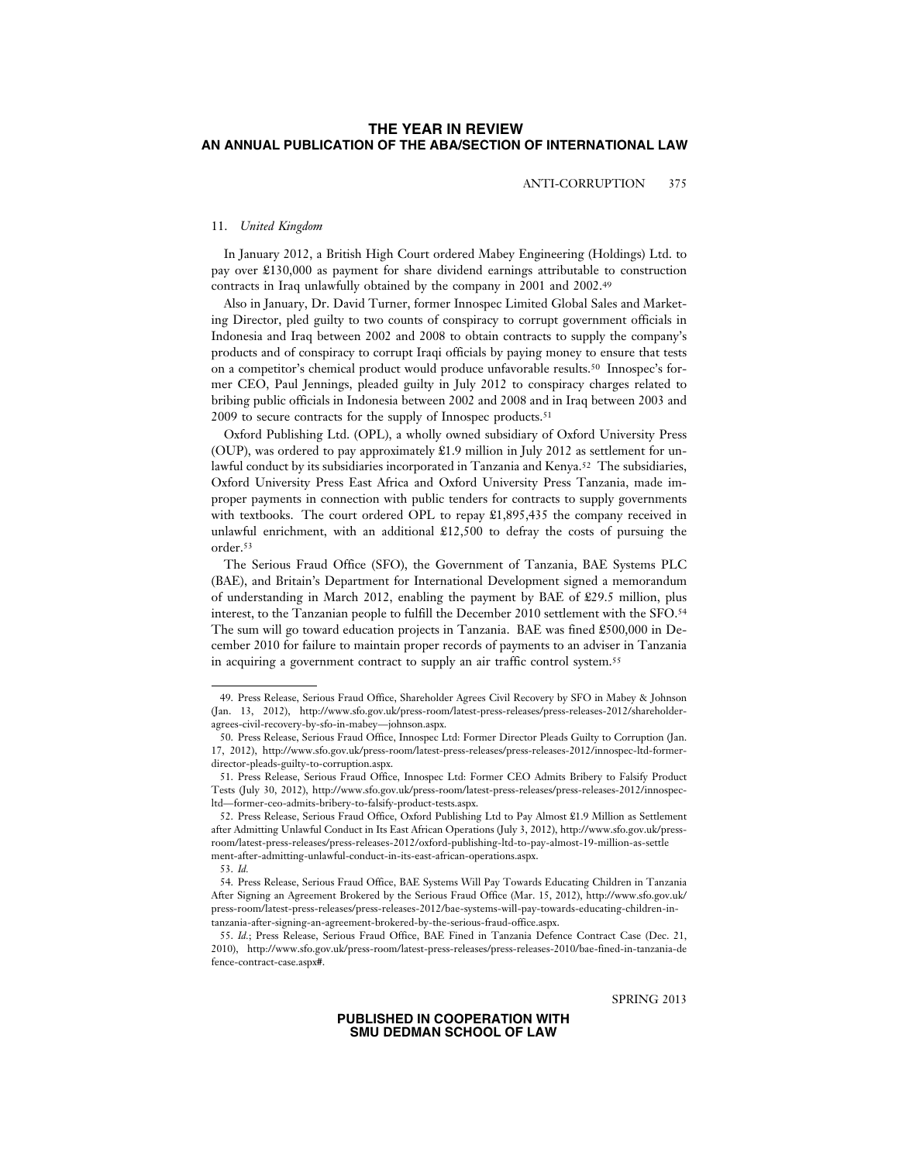ANTI-CORRUPTION 375

#### 11. *United Kingdom*

In January 2012, a British High Court ordered Mabey Engineering (Holdings) Ltd. to pay over £130,000 as payment for share dividend earnings attributable to construction contracts in Iraq unlawfully obtained by the company in 2001 and 2002.49

Also in January, Dr. David Turner, former Innospec Limited Global Sales and Marketing Director, pled guilty to two counts of conspiracy to corrupt government officials in Indonesia and Iraq between 2002 and 2008 to obtain contracts to supply the company's products and of conspiracy to corrupt Iraqi officials by paying money to ensure that tests on a competitor's chemical product would produce unfavorable results.50 Innospec's former CEO, Paul Jennings, pleaded guilty in July 2012 to conspiracy charges related to bribing public officials in Indonesia between 2002 and 2008 and in Iraq between 2003 and 2009 to secure contracts for the supply of Innospec products.51

Oxford Publishing Ltd. (OPL), a wholly owned subsidiary of Oxford University Press (OUP), was ordered to pay approximately £1.9 million in July 2012 as settlement for unlawful conduct by its subsidiaries incorporated in Tanzania and Kenya.52 The subsidiaries, Oxford University Press East Africa and Oxford University Press Tanzania, made improper payments in connection with public tenders for contracts to supply governments with textbooks. The court ordered OPL to repay  $\pounds1,895,435$  the company received in unlawful enrichment, with an additional £12,500 to defray the costs of pursuing the order.53

The Serious Fraud Office (SFO), the Government of Tanzania, BAE Systems PLC (BAE), and Britain's Department for International Development signed a memorandum of understanding in March 2012, enabling the payment by BAE of £29.5 million, plus interest, to the Tanzanian people to fulfill the December 2010 settlement with the SFO.54 The sum will go toward education projects in Tanzania. BAE was fined £500,000 in December 2010 for failure to maintain proper records of payments to an adviser in Tanzania in acquiring a government contract to supply an air traffic control system.55

SPRING 2013

<sup>49.</sup> Press Release, Serious Fraud Office, Shareholder Agrees Civil Recovery by SFO in Mabey & Johnson (Jan. 13, 2012), http://www.sfo.gov.uk/press-room/latest-press-releases/press-releases-2012/shareholderagrees-civil-recovery-by-sfo-in-mabey—johnson.aspx.

<sup>50.</sup> Press Release, Serious Fraud Office, Innospec Ltd: Former Director Pleads Guilty to Corruption (Jan. 17, 2012), http://www.sfo.gov.uk/press-room/latest-press-releases/press-releases-2012/innospec-ltd-formerdirector-pleads-guilty-to-corruption.aspx.

<sup>51.</sup> Press Release, Serious Fraud Office, Innospec Ltd: Former CEO Admits Bribery to Falsify Product Tests (July 30, 2012), http://www.sfo.gov.uk/press-room/latest-press-releases/press-releases-2012/innospecltd—former-ceo-admits-bribery-to-falsify-product-tests.aspx.

<sup>52.</sup> Press Release, Serious Fraud Office, Oxford Publishing Ltd to Pay Almost £1.9 Million as Settlement after Admitting Unlawful Conduct in Its East African Operations (July 3, 2012), http://www.sfo.gov.uk/pressroom/latest-press-releases/press-releases-2012/oxford-publishing-ltd-to-pay-almost-19-million-as-settle ment-after-admitting-unlawful-conduct-in-its-east-african-operations.aspx.

<sup>53.</sup> *Id.*

<sup>54.</sup> Press Release, Serious Fraud Office, BAE Systems Will Pay Towards Educating Children in Tanzania After Signing an Agreement Brokered by the Serious Fraud Office (Mar. 15, 2012), http://www.sfo.gov.uk/ press-room/latest-press-releases/press-releases-2012/bae-systems-will-pay-towards-educating-children-intanzania-after-signing-an-agreement-brokered-by-the-serious-fraud-office.aspx.

<sup>55.</sup> *Id.*; Press Release, Serious Fraud Office, BAE Fined in Tanzania Defence Contract Case (Dec. 21, 2010), http://www.sfo.gov.uk/press-room/latest-press-releases/press-releases-2010/bae-fined-in-tanzania-de fence-contract-case.aspx#.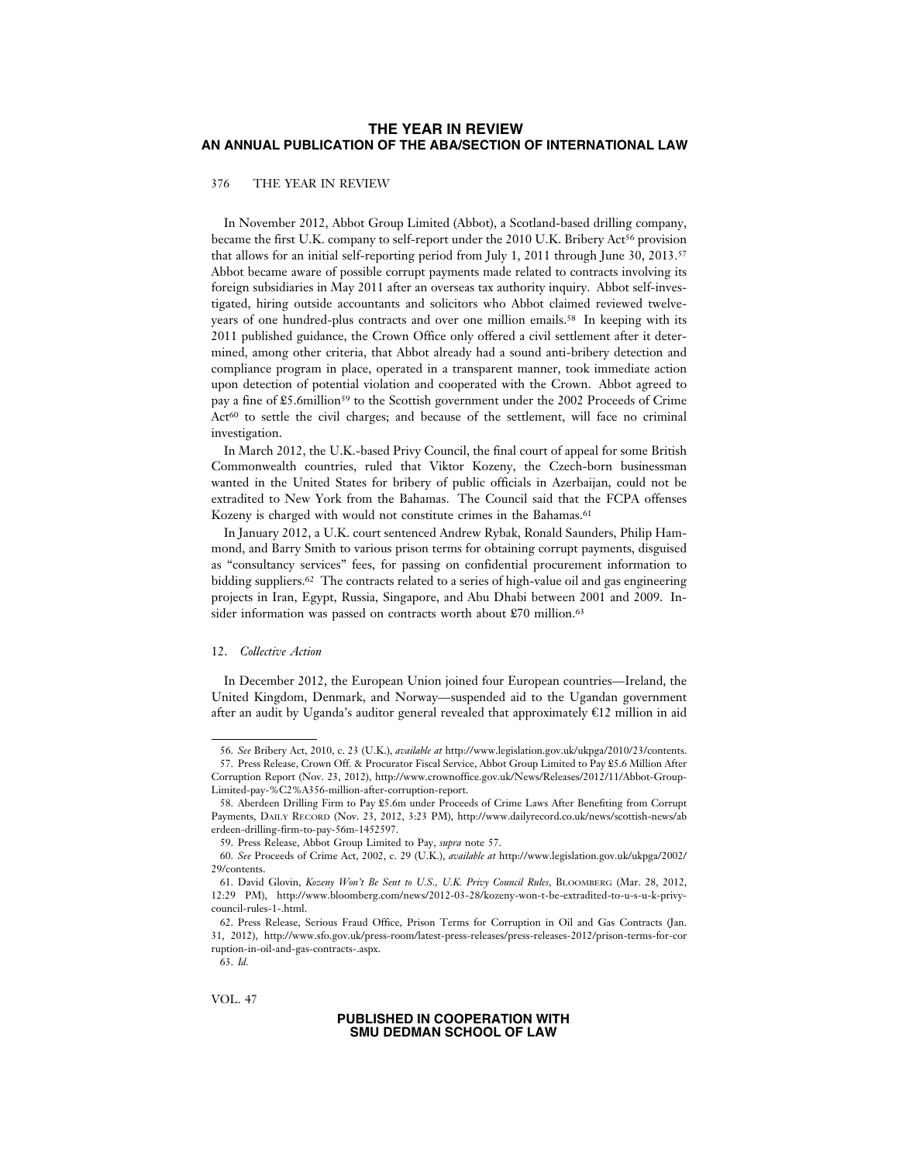376 THE YEAR IN REVIEW

In November 2012, Abbot Group Limited (Abbot), a Scotland-based drilling company, became the first U.K. company to self-report under the 2010 U.K. Bribery Act<sup>56</sup> provision that allows for an initial self-reporting period from July 1, 2011 through June 30, 2013.57 Abbot became aware of possible corrupt payments made related to contracts involving its foreign subsidiaries in May 2011 after an overseas tax authority inquiry. Abbot self-investigated, hiring outside accountants and solicitors who Abbot claimed reviewed twelveyears of one hundred-plus contracts and over one million emails.58 In keeping with its 2011 published guidance, the Crown Office only offered a civil settlement after it determined, among other criteria, that Abbot already had a sound anti-bribery detection and compliance program in place, operated in a transparent manner, took immediate action upon detection of potential violation and cooperated with the Crown. Abbot agreed to pay a fine of £5.6million59 to the Scottish government under the 2002 Proceeds of Crime  $Act<sup>60</sup>$  to settle the civil charges; and because of the settlement, will face no criminal investigation.

In March 2012, the U.K.-based Privy Council, the final court of appeal for some British Commonwealth countries, ruled that Viktor Kozeny, the Czech-born businessman wanted in the United States for bribery of public officials in Azerbaijan, could not be extradited to New York from the Bahamas. The Council said that the FCPA offenses Kozeny is charged with would not constitute crimes in the Bahamas.<sup>61</sup>

In January 2012, a U.K. court sentenced Andrew Rybak, Ronald Saunders, Philip Hammond, and Barry Smith to various prison terms for obtaining corrupt payments, disguised as "consultancy services" fees, for passing on confidential procurement information to bidding suppliers.62 The contracts related to a series of high-value oil and gas engineering projects in Iran, Egypt, Russia, Singapore, and Abu Dhabi between 2001 and 2009. Insider information was passed on contracts worth about £70 million.<sup>63</sup>

### 12. *Collective Action*

In December 2012, the European Union joined four European countries—Ireland, the United Kingdom, Denmark, and Norway—suspended aid to the Ugandan government after an audit by Uganda's auditor general revealed that approximately  $\epsilon$ 12 million in aid

VOL. 47

<sup>56.</sup> *See* Bribery Act, 2010, c. 23 (U.K.), *available at* http://www.legislation.gov.uk/ukpga/2010/23/contents.

<sup>57.</sup> Press Release, Crown Off. & Procurator Fiscal Service, Abbot Group Limited to Pay £5.6 Million After Corruption Report (Nov. 23, 2012), http://www.crownoffice.gov.uk/News/Releases/2012/11/Abbot-Group-Limited-pay-%C2%A356-million-after-corruption-report.

<sup>58.</sup> Aberdeen Drilling Firm to Pay £5.6m under Proceeds of Crime Laws After Benefiting from Corrupt Payments, DAILY RECORD (Nov. 23, 2012, 3:23 PM), http://www.dailyrecord.co.uk/news/scottish-news/ab erdeen-drilling-firm-to-pay-56m-1452597.

<sup>59.</sup> Press Release, Abbot Group Limited to Pay, *supra* note 57.

<sup>60.</sup> *See* Proceeds of Crime Act, 2002, c. 29 (U.K.), *available at* http://www.legislation.gov.uk/ukpga/2002/ 29/contents.

<sup>61.</sup> David Glovin, *Kozeny Won't Be Sent to U.S., U.K. Privy Council Rules*, BLOOMBERG (Mar. 28, 2012, 12:29 PM), http://www.bloomberg.com/news/2012-03-28/kozeny-won-t-be-extradited-to-u-s-u-k-privycouncil-rules-1-.html.

<sup>62.</sup> Press Release, Serious Fraud Office, Prison Terms for Corruption in Oil and Gas Contracts (Jan. 31, 2012), http://www.sfo.gov.uk/press-room/latest-press-releases/press-releases-2012/prison-terms-for-cor ruption-in-oil-and-gas-contracts-.aspx.

<sup>63.</sup> *Id.*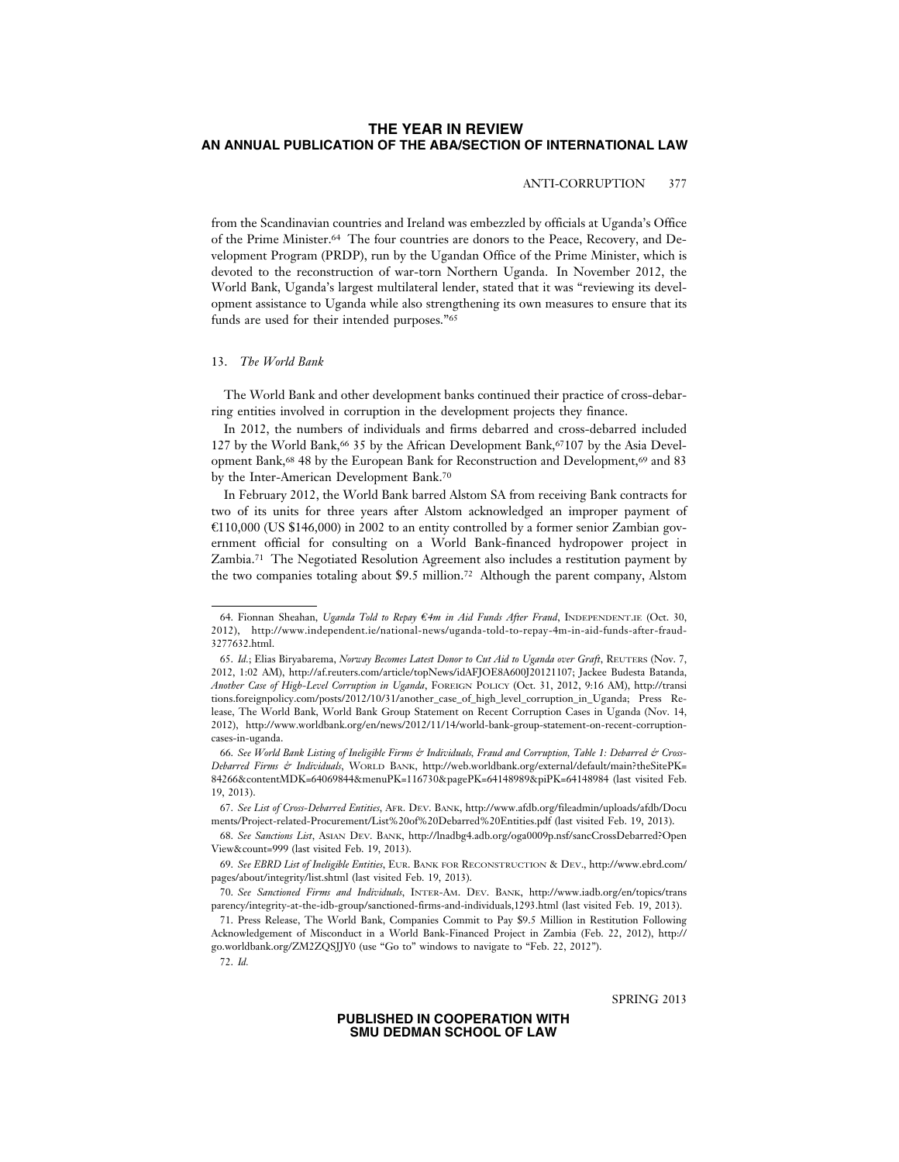# ANTI-CORRUPTION 377

from the Scandinavian countries and Ireland was embezzled by officials at Uganda's Office of the Prime Minister.64 The four countries are donors to the Peace, Recovery, and Development Program (PRDP), run by the Ugandan Office of the Prime Minister, which is devoted to the reconstruction of war-torn Northern Uganda. In November 2012, the World Bank, Uganda's largest multilateral lender, stated that it was "reviewing its development assistance to Uganda while also strengthening its own measures to ensure that its funds are used for their intended purposes."65

#### 13. *The World Bank*

The World Bank and other development banks continued their practice of cross-debarring entities involved in corruption in the development projects they finance.

In 2012, the numbers of individuals and firms debarred and cross-debarred included 127 by the World Bank,66 35 by the African Development Bank,67107 by the Asia Development Bank,<sup>68</sup> 48 by the European Bank for Reconstruction and Development,<sup>69</sup> and 83 by the Inter-American Development Bank.70

In February 2012, the World Bank barred Alstom SA from receiving Bank contracts for two of its units for three years after Alstom acknowledged an improper payment of = C110,000 (US \$146,000) in 2002 to an entity controlled by a former senior Zambian government official for consulting on a World Bank-financed hydropower project in Zambia.71 The Negotiated Resolution Agreement also includes a restitution payment by the two companies totaling about \$9.5 million.72 Although the parent company, Alstom

68. *See Sanctions List*, ASIAN DEV. BANK, http://lnadbg4.adb.org/oga0009p.nsf/sancCrossDebarred?Open View&count=999 (last visited Feb. 19, 2013).

SPRING 2013

<sup>64.</sup> Fionnan Sheahan, *Uganda Told to Repay €4m in Aid Funds After Fraud*, INDEPENDENT.IE (Oct. 30, 2012), http://www.independent.ie/national-news/uganda-told-to-repay-4m-in-aid-funds-after-fraud-3277632.html.

<sup>65.</sup> *Id.*; Elias Biryabarema, *Norway Becomes Latest Donor to Cut Aid to Uganda over Graft*, REUTERS (Nov. 7, 2012, 1:02 AM), http://af.reuters.com/article/topNews/idAFJOE8A600J20121107; Jackee Budesta Batanda, *Another Case of High-Level Corruption in Uganda*, FOREIGN POLICY (Oct. 31, 2012, 9:16 AM), http://transi tions.foreignpolicy.com/posts/2012/10/31/another\_case\_of\_high\_level\_corruption\_in\_Uganda; Press Release, The World Bank, World Bank Group Statement on Recent Corruption Cases in Uganda (Nov. 14, 2012), http://www.worldbank.org/en/news/2012/11/14/world-bank-group-statement-on-recent-corruptioncases-in-uganda.

<sup>66.</sup> *See World Bank Listing of Ineligible Firms & Individuals, Fraud and Corruption, Table 1: Debarred & Cross-Debarred Firms & Individuals*, WORLD BANK, http://web.worldbank.org/external/default/main?theSitePK= 84266&contentMDK=64069844&menuPK=116730&pagePK=64148989&piPK=64148984 (last visited Feb. 19, 2013).

<sup>67.</sup> *See List of Cross-Debarred Entities*, AFR. DEV. BANK, http://www.afdb.org/fileadmin/uploads/afdb/Docu ments/Project-related-Procurement/List%20of%20Debarred%20Entities.pdf (last visited Feb. 19, 2013).

<sup>69.</sup> *See EBRD List of Ineligible Entities*, EUR. BANK FOR RECONSTRUCTION & DEV., http://www.ebrd.com/ pages/about/integrity/list.shtml (last visited Feb. 19, 2013).

<sup>70.</sup> *See Sanctioned Firms and Individuals*, INTER-AM. DEV. BANK, http://www.iadb.org/en/topics/trans parency/integrity-at-the-idb-group/sanctioned-firms-and-individuals,1293.html (last visited Feb. 19, 2013).

<sup>71.</sup> Press Release, The World Bank, Companies Commit to Pay \$9.5 Million in Restitution Following Acknowledgement of Misconduct in a World Bank-Financed Project in Zambia (Feb. 22, 2012), http:// go.worldbank.org/ZM2ZQSJJY0 (use "Go to" windows to navigate to "Feb. 22, 2012").

<sup>72.</sup> *Id.*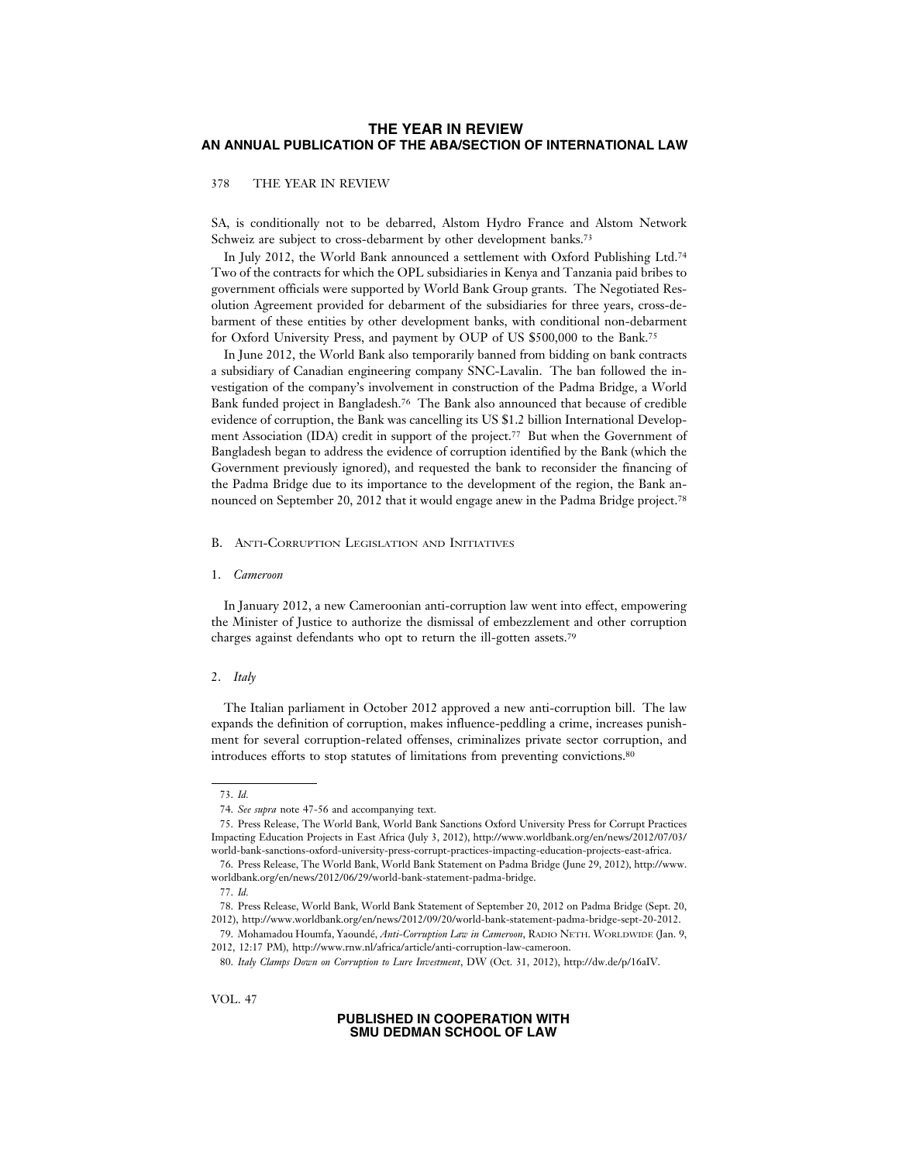### 378 THE YEAR IN REVIEW

SA, is conditionally not to be debarred, Alstom Hydro France and Alstom Network Schweiz are subject to cross-debarment by other development banks.<sup>73</sup>

In July 2012, the World Bank announced a settlement with Oxford Publishing Ltd.74 Two of the contracts for which the OPL subsidiaries in Kenya and Tanzania paid bribes to government officials were supported by World Bank Group grants. The Negotiated Resolution Agreement provided for debarment of the subsidiaries for three years, cross-debarment of these entities by other development banks, with conditional non-debarment for Oxford University Press, and payment by OUP of US \$500,000 to the Bank.75

In June 2012, the World Bank also temporarily banned from bidding on bank contracts a subsidiary of Canadian engineering company SNC-Lavalin. The ban followed the investigation of the company's involvement in construction of the Padma Bridge, a World Bank funded project in Bangladesh.76 The Bank also announced that because of credible evidence of corruption, the Bank was cancelling its US \$1.2 billion International Development Association (IDA) credit in support of the project.77 But when the Government of Bangladesh began to address the evidence of corruption identified by the Bank (which the Government previously ignored), and requested the bank to reconsider the financing of the Padma Bridge due to its importance to the development of the region, the Bank announced on September 20, 2012 that it would engage anew in the Padma Bridge project.78

#### B. ANTI-CORRUPTION LEGISLATION AND INITIATIVES

#### 1. *Cameroon*

In January 2012, a new Cameroonian anti-corruption law went into effect, empowering the Minister of Justice to authorize the dismissal of embezzlement and other corruption charges against defendants who opt to return the ill-gotten assets.79

#### 2. *Italy*

The Italian parliament in October 2012 approved a new anti-corruption bill. The law expands the definition of corruption, makes influence-peddling a crime, increases punishment for several corruption-related offenses, criminalizes private sector corruption, and introduces efforts to stop statutes of limitations from preventing convictions.80

<sup>73.</sup> *Id.*

<sup>74.</sup> *See supra* note 47-56 and accompanying text.

<sup>75.</sup> Press Release, The World Bank, World Bank Sanctions Oxford University Press for Corrupt Practices Impacting Education Projects in East Africa (July 3, 2012), http://www.worldbank.org/en/news/2012/07/03/ world-bank-sanctions-oxford-university-press-corrupt-practices-impacting-education-projects-east-africa.

<sup>76.</sup> Press Release, The World Bank, World Bank Statement on Padma Bridge (June 29, 2012), http://www. worldbank.org/en/news/2012/06/29/world-bank-statement-padma-bridge.

<sup>77.</sup> *Id.*

<sup>78.</sup> Press Release, World Bank, World Bank Statement of September 20, 2012 on Padma Bridge (Sept. 20, 2012), http://www.worldbank.org/en/news/2012/09/20/world-bank-statement-padma-bridge-sept-20-2012.

<sup>79.</sup> Mohamadou Houmfa, Yaound´e, *Anti-Corruption Law in Cameroon*, RADIO NETH. WORLDWIDE (Jan. 9, 2012, 12:17 PM), http://www.rnw.nl/africa/article/anti-corruption-law-cameroon.

<sup>80.</sup> *Italy Clamps Down on Corruption to Lure Investment*, DW (Oct. 31, 2012), http://dw.de/p/16aIV.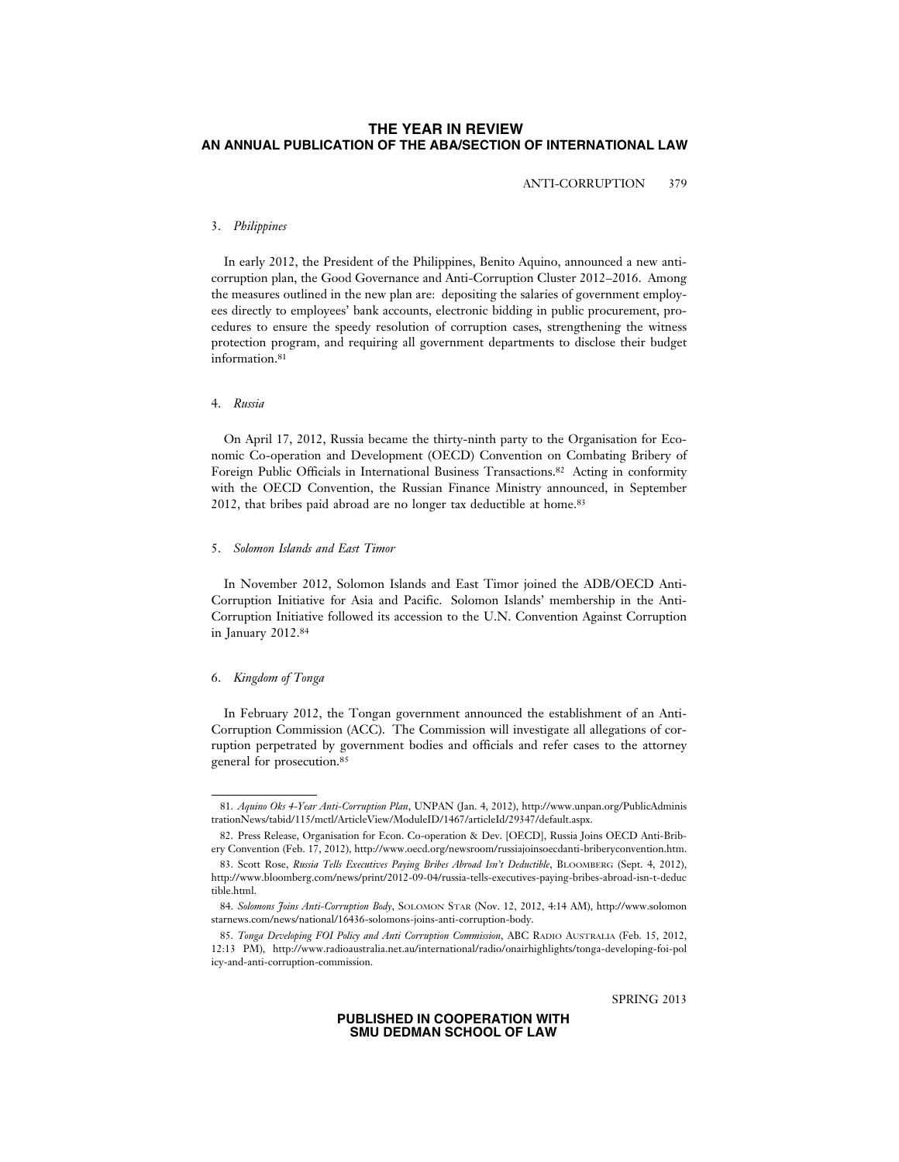ANTI-CORRUPTION 379

### 3. *Philippines*

In early 2012, the President of the Philippines, Benito Aquino, announced a new anticorruption plan, the Good Governance and Anti-Corruption Cluster 2012–2016. Among the measures outlined in the new plan are: depositing the salaries of government employees directly to employees' bank accounts, electronic bidding in public procurement, procedures to ensure the speedy resolution of corruption cases, strengthening the witness protection program, and requiring all government departments to disclose their budget information.81

# 4. *Russia*

On April 17, 2012, Russia became the thirty-ninth party to the Organisation for Economic Co-operation and Development (OECD) Convention on Combating Bribery of Foreign Public Officials in International Business Transactions.82 Acting in conformity with the OECD Convention, the Russian Finance Ministry announced, in September 2012, that bribes paid abroad are no longer tax deductible at home.83

#### 5. *Solomon Islands and East Timor*

In November 2012, Solomon Islands and East Timor joined the ADB/OECD Anti-Corruption Initiative for Asia and Pacific. Solomon Islands' membership in the Anti-Corruption Initiative followed its accession to the U.N. Convention Against Corruption in January 2012.84

#### 6. *Kingdom of Tonga*

In February 2012, the Tongan government announced the establishment of an Anti-Corruption Commission (ACC). The Commission will investigate all allegations of corruption perpetrated by government bodies and officials and refer cases to the attorney general for prosecution.85

<sup>81.</sup> *Aquino Oks 4-Year Anti-Corruption Plan*, UNPAN (Jan. 4, 2012), http://www.unpan.org/PublicAdminis trationNews/tabid/115/mctl/ArticleView/ModuleID/1467/articleId/29347/default.aspx.

<sup>82.</sup> Press Release, Organisation for Econ. Co-operation & Dev. [OECD], Russia Joins OECD Anti-Bribery Convention (Feb. 17, 2012), http://www.oecd.org/newsroom/russiajoinsoecdanti-briberyconvention.htm.

<sup>83.</sup> Scott Rose, *Russia Tells Executives Paying Bribes Abroad Isn't Deductible*, BLOOMBERG (Sept. 4, 2012), http://www.bloomberg.com/news/print/2012-09-04/russia-tells-executives-paying-bribes-abroad-isn-t-deduc tible.html.

<sup>84.</sup> *Solomons Joins Anti-Corruption Body*, SOLOMON STAR (Nov. 12, 2012, 4:14 AM), http://www.solomon starnews.com/news/national/16436-solomons-joins-anti-corruption-body.

<sup>85.</sup> *Tonga Developing FOI Policy and Anti Corruption Commission*, ABC RADIO AUSTRALIA (Feb. 15, 2012, 12:13 PM), http://www.radioaustralia.net.au/international/radio/onairhighlights/tonga-developing-foi-pol icy-and-anti-corruption-commission.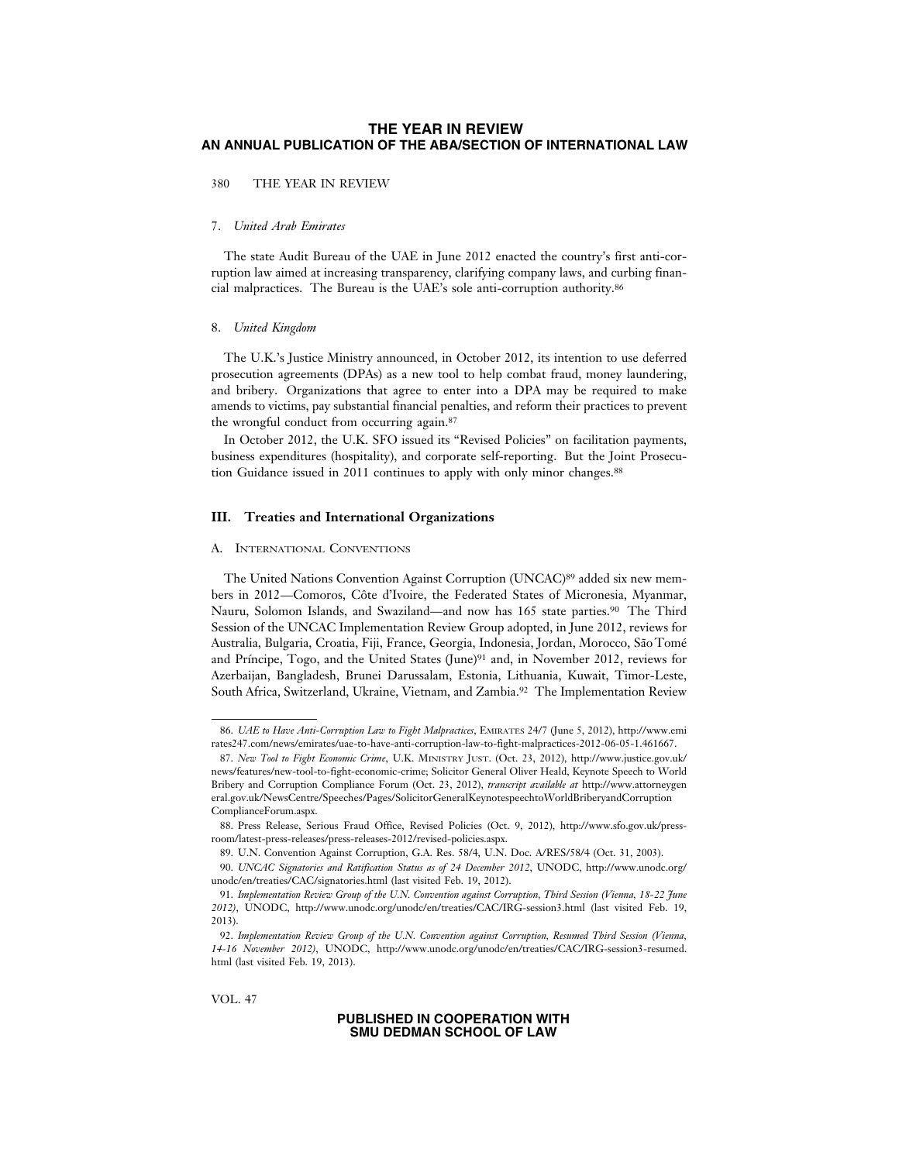380 THE YEAR IN REVIEW

# 7. *United Arab Emirates*

The state Audit Bureau of the UAE in June 2012 enacted the country's first anti-corruption law aimed at increasing transparency, clarifying company laws, and curbing financial malpractices. The Bureau is the UAE's sole anti-corruption authority.86

#### 8. *United Kingdom*

The U.K.'s Justice Ministry announced, in October 2012, its intention to use deferred prosecution agreements (DPAs) as a new tool to help combat fraud, money laundering, and bribery. Organizations that agree to enter into a DPA may be required to make amends to victims, pay substantial financial penalties, and reform their practices to prevent the wrongful conduct from occurring again.87

In October 2012, the U.K. SFO issued its "Revised Policies" on facilitation payments, business expenditures (hospitality), and corporate self-reporting. But the Joint Prosecution Guidance issued in 2011 continues to apply with only minor changes.88

### **III. Treaties and International Organizations**

#### A. INTERNATIONAL CONVENTIONS

The United Nations Convention Against Corruption (UNCAC)<sup>89</sup> added six new members in 2012—Comoros, Côte d'Ivoire, the Federated States of Micronesia, Myanmar, Nauru, Solomon Islands, and Swaziland—and now has 165 state parties.90 The Third Session of the UNCAC Implementation Review Group adopted, in June 2012, reviews for Australia, Bulgaria, Croatia, Fiji, France, Georgia, Indonesia, Jordan, Morocco, São Tomé and Príncipe, Togo, and the United States (June)<sup>91</sup> and, in November 2012, reviews for Azerbaijan, Bangladesh, Brunei Darussalam, Estonia, Lithuania, Kuwait, Timor-Leste, South Africa, Switzerland, Ukraine, Vietnam, and Zambia.92 The Implementation Review

VOL. 47

<sup>86.</sup> *UAE to Have Anti-Corruption Law to Fight Malpractices*, EMIRATES 24/7 (June 5, 2012), http://www.emi rates247.com/news/emirates/uae-to-have-anti-corruption-law-to-fight-malpractices-2012-06-05-1.461667.

<sup>87.</sup> *New Tool to Fight Economic Crime*, U.K. MINISTRY JUST. (Oct. 23, 2012), http://www.justice.gov.uk/ news/features/new-tool-to-fight-economic-crime; Solicitor General Oliver Heald, Keynote Speech to World Bribery and Corruption Compliance Forum (Oct. 23, 2012), *transcript available at* http://www.attorneygen eral.gov.uk/NewsCentre/Speeches/Pages/SolicitorGeneralKeynotespeechtoWorldBriberyandCorruption ComplianceForum.aspx.

<sup>88.</sup> Press Release, Serious Fraud Office, Revised Policies (Oct. 9, 2012), http://www.sfo.gov.uk/pressroom/latest-press-releases/press-releases-2012/revised-policies.aspx.

<sup>89.</sup> U.N. Convention Against Corruption, G.A. Res. 58/4, U.N. Doc. A/RES/58/4 (Oct. 31, 2003).

<sup>90.</sup> *UNCAC Signatories and Ratification Status as of 24 December 2012*, UNODC, http://www.unodc.org/ unodc/en/treaties/CAC/signatories.html (last visited Feb. 19, 2012).

<sup>91.</sup> *Implementation Review Group of the U.N. Convention against Corruption, Third Session (Vienna, 18-22 June 2012)*, UNODC, http://www.unodc.org/unodc/en/treaties/CAC/IRG-session3.html (last visited Feb. 19, 2013).

<sup>92.</sup> *Implementation Review Group of the U.N. Convention against Corruption, Resumed Third Session (Vienna, 14-16 November 2012)*, UNODC, http://www.unodc.org/unodc/en/treaties/CAC/IRG-session3-resumed. html (last visited Feb. 19, 2013).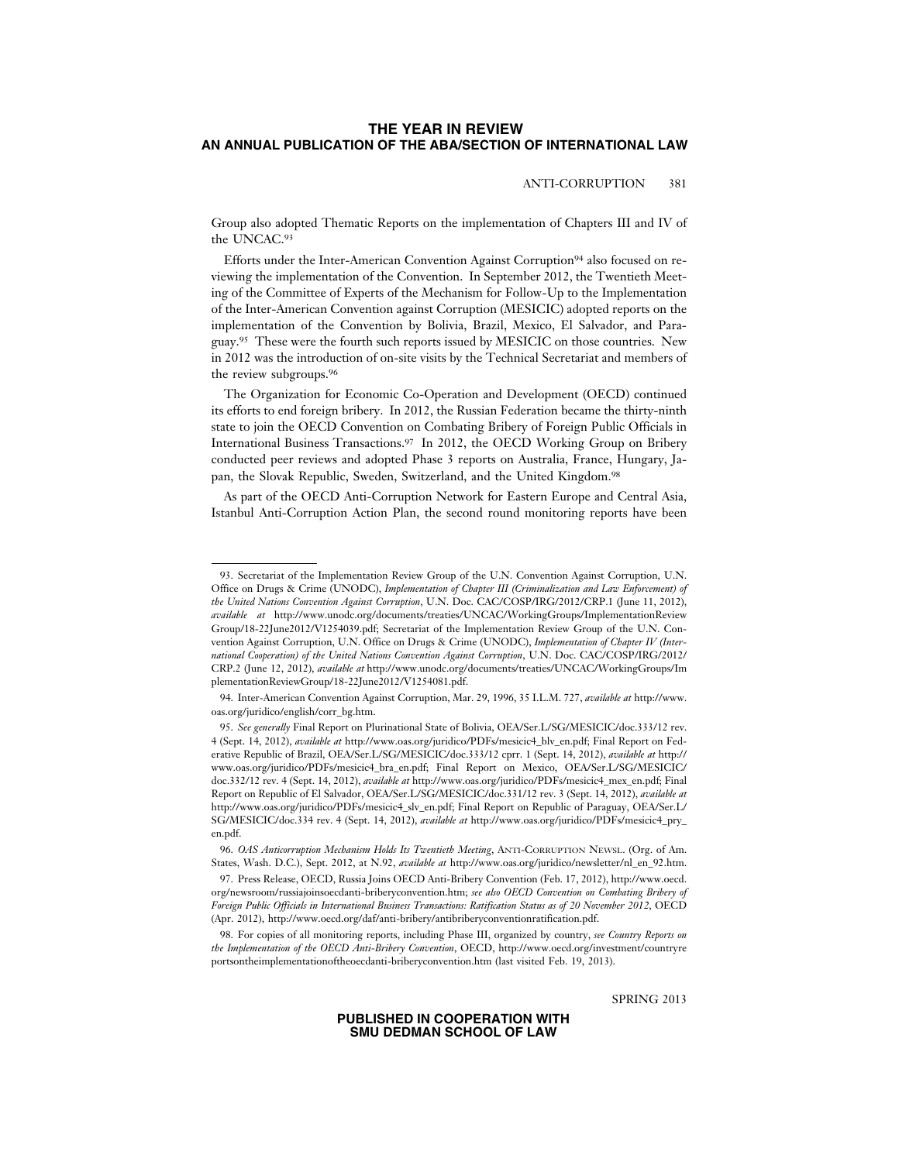# ANTI-CORRUPTION 381

Group also adopted Thematic Reports on the implementation of Chapters III and IV of the UNCAC.93

Efforts under the Inter-American Convention Against Corruption94 also focused on reviewing the implementation of the Convention. In September 2012, the Twentieth Meeting of the Committee of Experts of the Mechanism for Follow-Up to the Implementation of the Inter-American Convention against Corruption (MESICIC) adopted reports on the implementation of the Convention by Bolivia, Brazil, Mexico, El Salvador, and Paraguay.95 These were the fourth such reports issued by MESICIC on those countries. New in 2012 was the introduction of on-site visits by the Technical Secretariat and members of the review subgroups.96

The Organization for Economic Co-Operation and Development (OECD) continued its efforts to end foreign bribery. In 2012, the Russian Federation became the thirty-ninth state to join the OECD Convention on Combating Bribery of Foreign Public Officials in International Business Transactions.97 In 2012, the OECD Working Group on Bribery conducted peer reviews and adopted Phase 3 reports on Australia, France, Hungary, Japan, the Slovak Republic, Sweden, Switzerland, and the United Kingdom.98

As part of the OECD Anti-Corruption Network for Eastern Europe and Central Asia, Istanbul Anti-Corruption Action Plan, the second round monitoring reports have been

SPRING 2013

<sup>93.</sup> Secretariat of the Implementation Review Group of the U.N. Convention Against Corruption, U.N. Office on Drugs & Crime (UNODC), *Implementation of Chapter III (Criminalization and Law Enforcement) of the United Nations Convention Against Corruption*, U.N. Doc. CAC/COSP/IRG/2012/CRP.1 (June 11, 2012), *available at* http://www.unodc.org/documents/treaties/UNCAC/WorkingGroups/ImplementationReview Group/18-22June2012/V1254039.pdf; Secretariat of the Implementation Review Group of the U.N. Convention Against Corruption, U.N. Office on Drugs & Crime (UNODC), *Implementation of Chapter IV (International Cooperation) of the United Nations Convention Against Corruption*, U.N. Doc. CAC/COSP/IRG/2012/ CRP.2 (June 12, 2012), *available at* http://www.unodc.org/documents/treaties/UNCAC/WorkingGroups/Im plementationReviewGroup/18-22June2012/V1254081.pdf.

<sup>94.</sup> Inter-American Convention Against Corruption, Mar. 29, 1996, 35 I.L.M. 727, *available at* http://www. oas.org/juridico/english/corr\_bg.htm.

<sup>95.</sup> *See generally* Final Report on Plurinational State of Bolivia, OEA/Ser.L/SG/MESICIC/doc.333/12 rev. 4 (Sept. 14, 2012), *available at* http://www.oas.org/juridico/PDFs/mesicic4\_blv\_en.pdf; Final Report on Federative Republic of Brazil, OEA/Ser.L/SG/MESICIC/doc.333/12 cprr. 1 (Sept. 14, 2012), *available at* http:// www.oas.org/juridico/PDFs/mesicic4\_bra\_en.pdf; Final Report on Mexico, OEA/Ser.L/SG/MESICIC/ doc.332/12 rev. 4 (Sept. 14, 2012), *available at* http://www.oas.org/juridico/PDFs/mesicic4\_mex\_en.pdf; Final Report on Republic of El Salvador, OEA/Ser.L/SG/MESICIC/doc.331/12 rev. 3 (Sept. 14, 2012), *available at* http://www.oas.org/juridico/PDFs/mesicic4\_slv\_en.pdf; Final Report on Republic of Paraguay, OEA/Ser.L/ SG/MESICIC/doc.334 rev. 4 (Sept. 14, 2012), *available at* http://www.oas.org/juridico/PDFs/mesicic4\_pry\_ en.pdf.

<sup>96.</sup> *OAS Anticorruption Mechanism Holds Its Twentieth Meeting*, ANTI-CORRUPTION NEWSL. (Org. of Am. States, Wash. D.C.), Sept. 2012, at N.92, *available at* http://www.oas.org/juridico/newsletter/nl\_en\_92.htm.

<sup>97.</sup> Press Release, OECD, Russia Joins OECD Anti-Bribery Convention (Feb. 17, 2012), http://www.oecd. org/newsroom/russiajoinsoecdanti-briberyconvention.htm; *see also OECD Convention on Combating Bribery of Foreign Public Officials in International Business Transactions: Ratification Status as of 20 November 2012*, OECD (Apr. 2012), http://www.oecd.org/daf/anti-bribery/antibriberyconventionratification.pdf.

<sup>98.</sup> For copies of all monitoring reports, including Phase III, organized by country, *see Country Reports on the Implementation of the OECD Anti-Bribery Convention*, OECD, http://www.oecd.org/investment/countryre portsontheimplementationoftheoecdanti-briberyconvention.htm (last visited Feb. 19, 2013).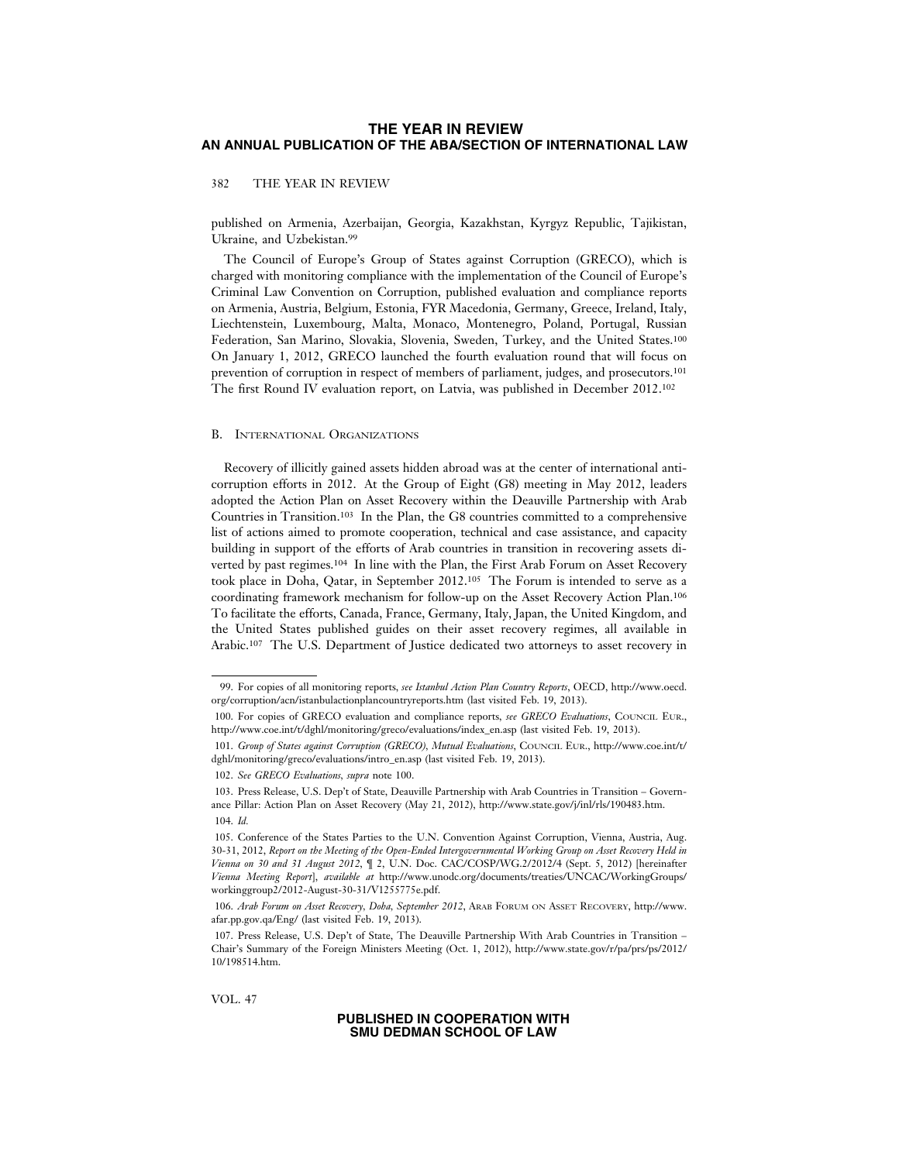382 THE YEAR IN REVIEW

published on Armenia, Azerbaijan, Georgia, Kazakhstan, Kyrgyz Republic, Tajikistan, Ukraine, and Uzbekistan.99

The Council of Europe's Group of States against Corruption (GRECO), which is charged with monitoring compliance with the implementation of the Council of Europe's Criminal Law Convention on Corruption, published evaluation and compliance reports on Armenia, Austria, Belgium, Estonia, FYR Macedonia, Germany, Greece, Ireland, Italy, Liechtenstein, Luxembourg, Malta, Monaco, Montenegro, Poland, Portugal, Russian Federation, San Marino, Slovakia, Slovenia, Sweden, Turkey, and the United States.100 On January 1, 2012, GRECO launched the fourth evaluation round that will focus on prevention of corruption in respect of members of parliament, judges, and prosecutors.101 The first Round IV evaluation report, on Latvia, was published in December 2012.102

#### B. INTERNATIONAL ORGANIZATIONS

Recovery of illicitly gained assets hidden abroad was at the center of international anticorruption efforts in 2012. At the Group of Eight (G8) meeting in May 2012, leaders adopted the Action Plan on Asset Recovery within the Deauville Partnership with Arab Countries in Transition.103 In the Plan, the G8 countries committed to a comprehensive list of actions aimed to promote cooperation, technical and case assistance, and capacity building in support of the efforts of Arab countries in transition in recovering assets diverted by past regimes.104 In line with the Plan, the First Arab Forum on Asset Recovery took place in Doha, Qatar, in September 2012.105 The Forum is intended to serve as a coordinating framework mechanism for follow-up on the Asset Recovery Action Plan.106 To facilitate the efforts, Canada, France, Germany, Italy, Japan, the United Kingdom, and the United States published guides on their asset recovery regimes, all available in Arabic.107 The U.S. Department of Justice dedicated two attorneys to asset recovery in

VOL. 47

<sup>99.</sup> For copies of all monitoring reports, *see Istanbul Action Plan Country Reports*, OECD, http://www.oecd. org/corruption/acn/istanbulactionplancountryreports.htm (last visited Feb. 19, 2013).

<sup>100.</sup> For copies of GRECO evaluation and compliance reports, *see GRECO Evaluations*, COUNCIL EUR., http://www.coe.int/t/dghl/monitoring/greco/evaluations/index\_en.asp (last visited Feb. 19, 2013).

<sup>101.</sup> *Group of States against Corruption (GRECO), Mutual Evaluations*, COUNCIL EUR., http://www.coe.int/t/ dghl/monitoring/greco/evaluations/intro\_en.asp (last visited Feb. 19, 2013).

<sup>102.</sup> *See GRECO Evaluations, supra* note 100.

<sup>103.</sup> Press Release, U.S. Dep't of State, Deauville Partnership with Arab Countries in Transition – Governance Pillar: Action Plan on Asset Recovery (May 21, 2012), http://www.state.gov/j/inl/rls/190483.htm. 104. *Id.*

<sup>105.</sup> Conference of the States Parties to the U.N. Convention Against Corruption, Vienna, Austria, Aug. 30-31, 2012, *Report on the Meeting of the Open-Ended Intergovernmental Working Group on Asset Recovery Held in Vienna on 30 and 31 August 2012*, ¶ 2, U.N. Doc. CAC/COSP/WG.2/2012/4 (Sept. 5, 2012) [hereinafter *Vienna Meeting Report*], *available at* http://www.unodc.org/documents/treaties/UNCAC/WorkingGroups/ workinggroup2/2012-August-30-31/V1255775e.pdf.

<sup>106.</sup> *Arab Forum on Asset Recovery, Doha, September 2012*, ARAB FORUM ON ASSET RECOVERY, http://www. afar.pp.gov.qa/Eng/ (last visited Feb. 19, 2013).

<sup>107.</sup> Press Release, U.S. Dep't of State, The Deauville Partnership With Arab Countries in Transition – Chair's Summary of the Foreign Ministers Meeting (Oct. 1, 2012), http://www.state.gov/r/pa/prs/ps/2012/ 10/198514.htm.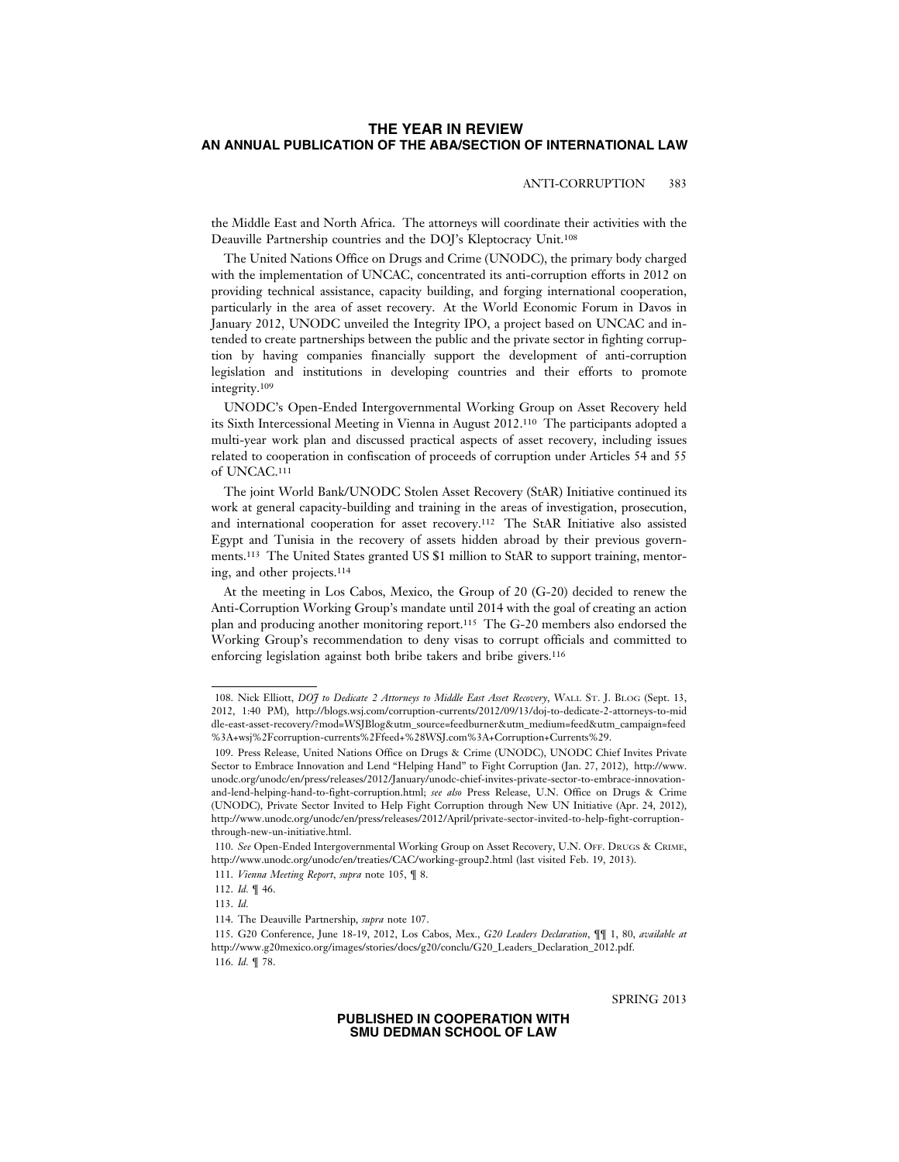# ANTI-CORRUPTION 383

the Middle East and North Africa. The attorneys will coordinate their activities with the Deauville Partnership countries and the DOJ's Kleptocracy Unit.108

The United Nations Office on Drugs and Crime (UNODC), the primary body charged with the implementation of UNCAC, concentrated its anti-corruption efforts in 2012 on providing technical assistance, capacity building, and forging international cooperation, particularly in the area of asset recovery. At the World Economic Forum in Davos in January 2012, UNODC unveiled the Integrity IPO, a project based on UNCAC and intended to create partnerships between the public and the private sector in fighting corruption by having companies financially support the development of anti-corruption legislation and institutions in developing countries and their efforts to promote integrity.109

UNODC's Open-Ended Intergovernmental Working Group on Asset Recovery held its Sixth Intercessional Meeting in Vienna in August 2012.110 The participants adopted a multi-year work plan and discussed practical aspects of asset recovery, including issues related to cooperation in confiscation of proceeds of corruption under Articles 54 and 55 of UNCAC.111

The joint World Bank/UNODC Stolen Asset Recovery (StAR) Initiative continued its work at general capacity-building and training in the areas of investigation, prosecution, and international cooperation for asset recovery.112 The StAR Initiative also assisted Egypt and Tunisia in the recovery of assets hidden abroad by their previous governments.113 The United States granted US \$1 million to StAR to support training, mentoring, and other projects.114

At the meeting in Los Cabos, Mexico, the Group of 20 (G-20) decided to renew the Anti-Corruption Working Group's mandate until 2014 with the goal of creating an action plan and producing another monitoring report.115 The G-20 members also endorsed the Working Group's recommendation to deny visas to corrupt officials and committed to enforcing legislation against both bribe takers and bribe givers.116

SPRING 2013

<sup>108.</sup> Nick Elliott, *DOJ to Dedicate 2 Attorneys to Middle East Asset Recovery*, WALL ST. J. BLOG (Sept. 13, 2012, 1:40 PM), http://blogs.wsj.com/corruption-currents/2012/09/13/doj-to-dedicate-2-attorneys-to-mid dle-east-asset-recovery/?mod=WSJBlog&utm\_source=feedburner&utm\_medium=feed&utm\_campaign=feed %3A+wsj%2Fcorruption-currents%2Ffeed+%28WSJ.com%3A+Corruption+Currents%29.

<sup>109.</sup> Press Release, United Nations Office on Drugs & Crime (UNODC), UNODC Chief Invites Private Sector to Embrace Innovation and Lend "Helping Hand" to Fight Corruption (Jan. 27, 2012), http://www. unodc.org/unodc/en/press/releases/2012/January/unodc-chief-invites-private-sector-to-embrace-innovationand-lend-helping-hand-to-fight-corruption.html; *see also* Press Release, U.N. Office on Drugs & Crime (UNODC), Private Sector Invited to Help Fight Corruption through New UN Initiative (Apr. 24, 2012), http://www.unodc.org/unodc/en/press/releases/2012/April/private-sector-invited-to-help-fight-corruptionthrough-new-un-initiative.html.

<sup>110.</sup> *See* Open-Ended Intergovernmental Working Group on Asset Recovery, U.N. OFF. DRUGS & CRIME, http://www.unodc.org/unodc/en/treaties/CAC/working-group2.html (last visited Feb. 19, 2013).

<sup>111.</sup> *Vienna Meeting Report*, *supra* note 105, ¶ 8.

<sup>112.</sup> *Id.* ¶ 46.

<sup>113.</sup> *Id.*

<sup>114.</sup> The Deauville Partnership, *supra* note 107.

<sup>115.</sup> G20 Conference, June 18-19, 2012, Los Cabos, Mex., *G20 Leaders Declaration*, ¶¶ 1, 80, *available at* http://www.g20mexico.org/images/stories/docs/g20/conclu/G20\_Leaders\_Declaration\_2012.pdf. 116. *Id.* ¶ 78.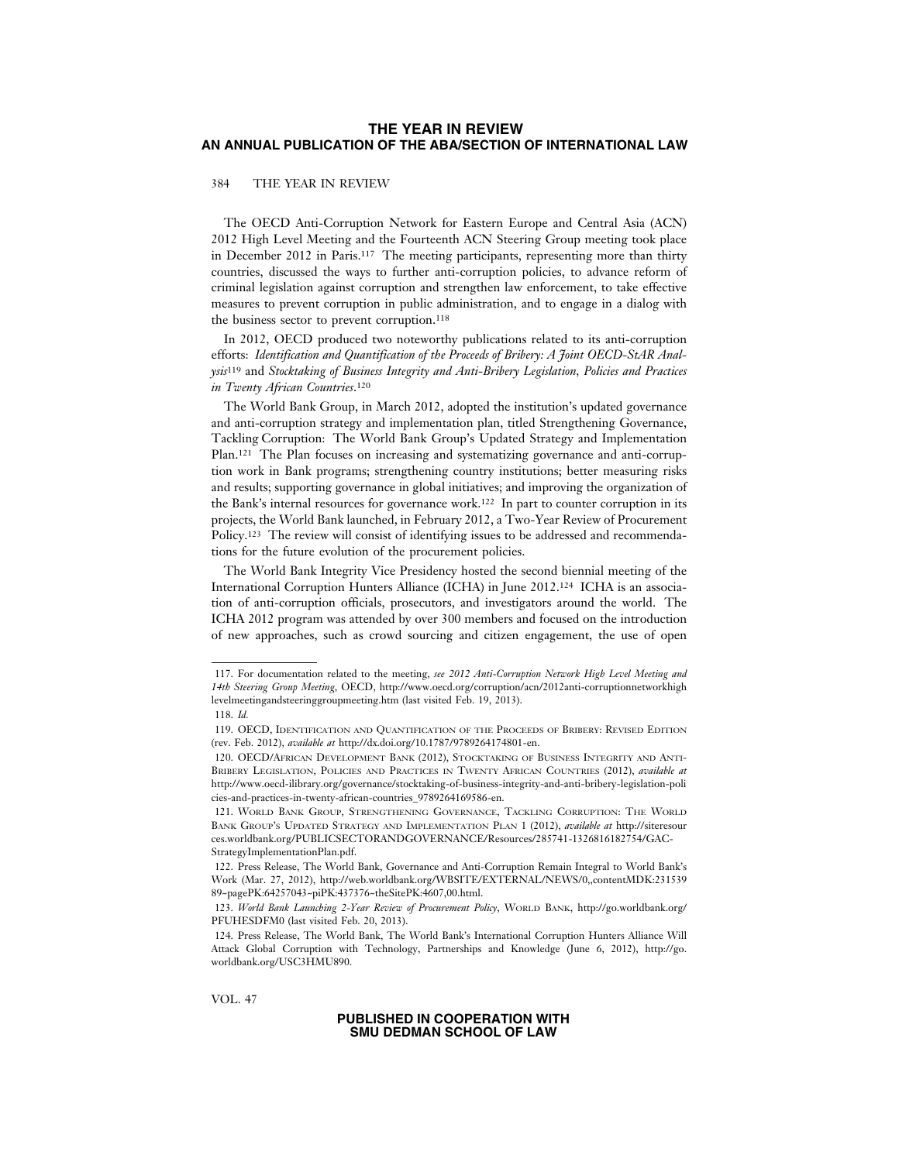### 384 THE YEAR IN REVIEW

The OECD Anti-Corruption Network for Eastern Europe and Central Asia (ACN) 2012 High Level Meeting and the Fourteenth ACN Steering Group meeting took place in December 2012 in Paris.117 The meeting participants, representing more than thirty countries, discussed the ways to further anti-corruption policies, to advance reform of criminal legislation against corruption and strengthen law enforcement, to take effective measures to prevent corruption in public administration, and to engage in a dialog with the business sector to prevent corruption.118

In 2012, OECD produced two noteworthy publications related to its anti-corruption efforts: *Identification and Quantification of the Proceeds of Bribery: A Joint OECD-StAR Analysis*119 and *Stocktaking of Business Integrity and Anti-Bribery Legislation, Policies and Practices in Twenty African Countries*.120

The World Bank Group, in March 2012, adopted the institution's updated governance and anti-corruption strategy and implementation plan, titled Strengthening Governance, Tackling Corruption: The World Bank Group's Updated Strategy and Implementation Plan.121 The Plan focuses on increasing and systematizing governance and anti-corruption work in Bank programs; strengthening country institutions; better measuring risks and results; supporting governance in global initiatives; and improving the organization of the Bank's internal resources for governance work.122 In part to counter corruption in its projects, the World Bank launched, in February 2012, a Two-Year Review of Procurement Policy.123 The review will consist of identifying issues to be addressed and recommendations for the future evolution of the procurement policies.

The World Bank Integrity Vice Presidency hosted the second biennial meeting of the International Corruption Hunters Alliance (ICHA) in June 2012.124 ICHA is an association of anti-corruption officials, prosecutors, and investigators around the world. The ICHA 2012 program was attended by over 300 members and focused on the introduction of new approaches, such as crowd sourcing and citizen engagement, the use of open

VOL. 47

<sup>117.</sup> For documentation related to the meeting, *see 2012 Anti-Corruption Network High Level Meeting and 14th Steering Group Meeting*, OECD, http://www.oecd.org/corruption/acn/2012anti-corruptionnetworkhigh levelmeetingandsteeringgroupmeeting.htm (last visited Feb. 19, 2013).

<sup>118.</sup> *Id.*

<sup>119.</sup> OECD, IDENTIFICATION AND QUANTIFICATION OF THE PROCEEDS OF BRIBERY: REVISED EDITION (rev. Feb. 2012), *available at* http://dx.doi.org/10.1787/9789264174801-en.

<sup>120.</sup> OECD/AFRICAN DEVELOPMENT BANK (2012), STOCKTAKING OF BUSINESS INTEGRITY AND ANTI-BRIBERY LEGISLATION, POLICIES AND PRACTICES IN TWENTY AFRICAN COUNTRIES (2012), *available at* http://www.oecd-ilibrary.org/governance/stocktaking-of-business-integrity-and-anti-bribery-legislation-poli cies-and-practices-in-twenty-african-countries\_9789264169586-en.

<sup>121.</sup> WORLD BANK GROUP, STRENGTHENING GOVERNANCE, TACKLING CORRUPTION: THE WORLD BANK GROUP'S UPDATED STRATEGY AND IMPLEMENTATION PLAN 1 (2012), *available at* http://siteresour ces.worldbank.org/PUBLICSECTORANDGOVERNANCE/Resources/285741-1326816182754/GAC-StrategyImplementationPlan.pdf.

<sup>122.</sup> Press Release, The World Bank, Governance and Anti-Corruption Remain Integral to World Bank's Work (Mar. 27, 2012), http://web.worldbank.org/WBSITE/EXTERNAL/NEWS/0,,contentMDK:231539 89~pagePK:64257043~piPK:437376~theSitePK:4607,00.html.

<sup>123.</sup> *World Bank Launching 2-Year Review of Procurement Policy*, WORLD BANK, http://go.worldbank.org/ PFUHESDFM0 (last visited Feb. 20, 2013).

<sup>124.</sup> Press Release, The World Bank, The World Bank's International Corruption Hunters Alliance Will Attack Global Corruption with Technology, Partnerships and Knowledge (June 6, 2012), http://go. worldbank.org/USC3HMU890.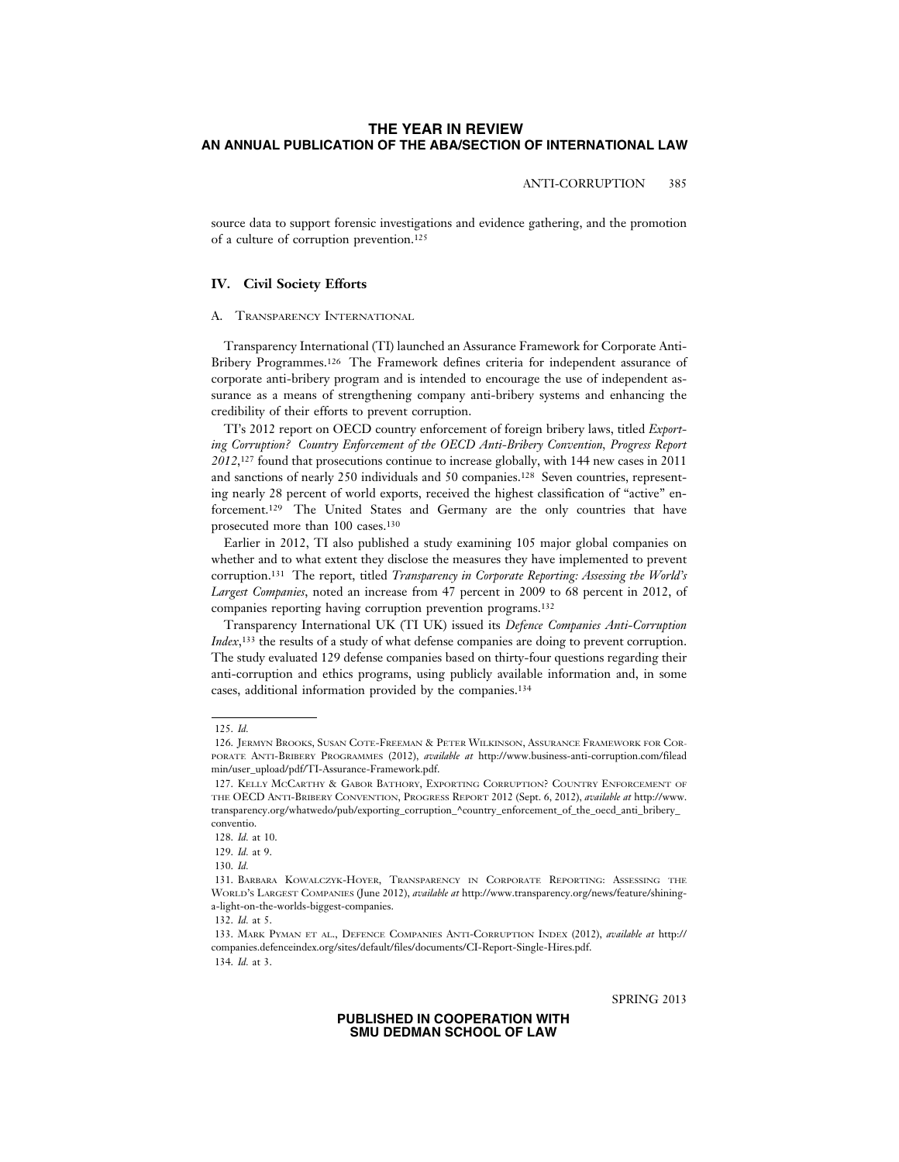### ANTI-CORRUPTION 385

source data to support forensic investigations and evidence gathering, and the promotion of a culture of corruption prevention.125

# **IV. Civil Society Efforts**

#### A. TRANSPARENCY INTERNATIONAL

Transparency International (TI) launched an Assurance Framework for Corporate Anti-Bribery Programmes.126 The Framework defines criteria for independent assurance of corporate anti-bribery program and is intended to encourage the use of independent assurance as a means of strengthening company anti-bribery systems and enhancing the credibility of their efforts to prevent corruption.

TI's 2012 report on OECD country enforcement of foreign bribery laws, titled *Exporting Corruption? Country Enforcement of the OECD Anti-Bribery Convention, Progress Report 2012*,127 found that prosecutions continue to increase globally, with 144 new cases in 2011 and sanctions of nearly 250 individuals and 50 companies.128 Seven countries, representing nearly 28 percent of world exports, received the highest classification of "active" enforcement.129 The United States and Germany are the only countries that have prosecuted more than 100 cases.130

Earlier in 2012, TI also published a study examining 105 major global companies on whether and to what extent they disclose the measures they have implemented to prevent corruption.131 The report, titled *Transparency in Corporate Reporting: Assessing the World's Largest Companies*, noted an increase from 47 percent in 2009 to 68 percent in 2012, of companies reporting having corruption prevention programs.132

Transparency International UK (TI UK) issued its *Defence Companies Anti-Corruption Index*<sup>133</sup>, the results of a study of what defense companies are doing to prevent corruption. The study evaluated 129 defense companies based on thirty-four questions regarding their anti-corruption and ethics programs, using publicly available information and, in some cases, additional information provided by the companies.134

SPRING 2013

<sup>125.</sup> *Id.*

<sup>126.</sup> JERMYN BROOKS, SUSAN COTE-FREEMAN & PETER WILKINSON, ASSURANCE FRAMEWORK FOR COR-PORATE ANTI-BRIBERY PROGRAMMES (2012), *available at* http://www.business-anti-corruption.com/filead min/user\_upload/pdf/TI-Assurance-Framework.pdf.

<sup>127.</sup> KELLY MCCARTHY & GABOR BATHORY, EXPORTING CORRUPTION? COUNTRY ENFORCEMENT OF THE OECD ANTI-BRIBERY CONVENTION, PROGRESS REPORT 2012 (Sept. 6, 2012), *available at* http://www. transparency.org/whatwedo/pub/exporting\_corruption\_^country\_enforcement\_of\_the\_oecd\_anti\_bribery conventio.

<sup>128.</sup> *Id.* at 10.

<sup>129.</sup> *Id.* at 9.

<sup>130.</sup> *Id.*

<sup>131.</sup> BARBARA KOWALCZYK-HOYER, TRANSPARENCY IN CORPORATE REPORTING: ASSESSING THE WORLD'S LARGEST COMPANIES (June 2012), *available at* http://www.transparency.org/news/feature/shininga-light-on-the-worlds-biggest-companies.

<sup>132.</sup> *Id.* at 5.

<sup>133.</sup> MARK PYMAN ET AL., DEFENCE COMPANIES ANTI-CORRUPTION INDEX (2012), *available at* http:// companies.defenceindex.org/sites/default/files/documents/CI-Report-Single-Hires.pdf. 134. *Id.* at 3.